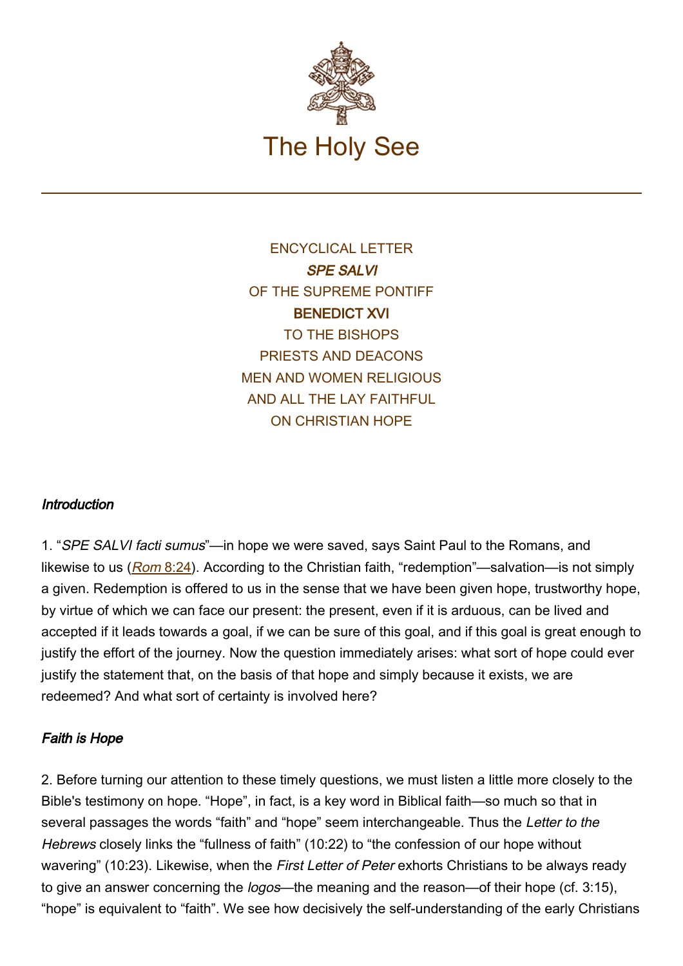

ENCYCLICAL LETTER SPE SALVI OF THE SUPREME PONTIFF BENEDICT XVI TO THE BISHOPS PRIESTS AND DEACONS MEN AND WOMEN RELIGIOUS AND ALL THE LAY FAITHFUL ON CHRISTIAN HOPE

# **Introduction**

1. "SPE SALVI facti sumus"—in hope we were saved, says Saint Paul to the Romans, and likewise to us (Rom [8:24\)](http://www.vatican.va/archive/ENG0839/__PYW.HTM). According to the Christian faith, "redemption"—salvation—is not simply a given. Redemption is offered to us in the sense that we have been given hope, trustworthy hope, by virtue of which we can face our present: the present, even if it is arduous, can be lived and accepted if it leads towards a goal, if we can be sure of this goal, and if this goal is great enough to justify the effort of the journey. Now the question immediately arises: what sort of hope could ever justify the statement that, on the basis of that hope and simply because it exists, we are redeemed? And what sort of certainty is involved here?

# Faith is Hope

2. Before turning our attention to these timely questions, we must listen a little more closely to the Bible's testimony on hope. "Hope", in fact, is a key word in Biblical faith—so much so that in several passages the words "faith" and "hope" seem interchangeable. Thus the Letter to the Hebrews closely links the "fullness of faith" (10:22) to "the confession of our hope without wavering" (10:23). Likewise, when the First Letter of Peter exhorts Christians to be always ready to give an answer concerning the *logos*—the meaning and the reason—of their hope (cf. 3:15), "hope" is equivalent to "faith". We see how decisively the self-understanding of the early Christians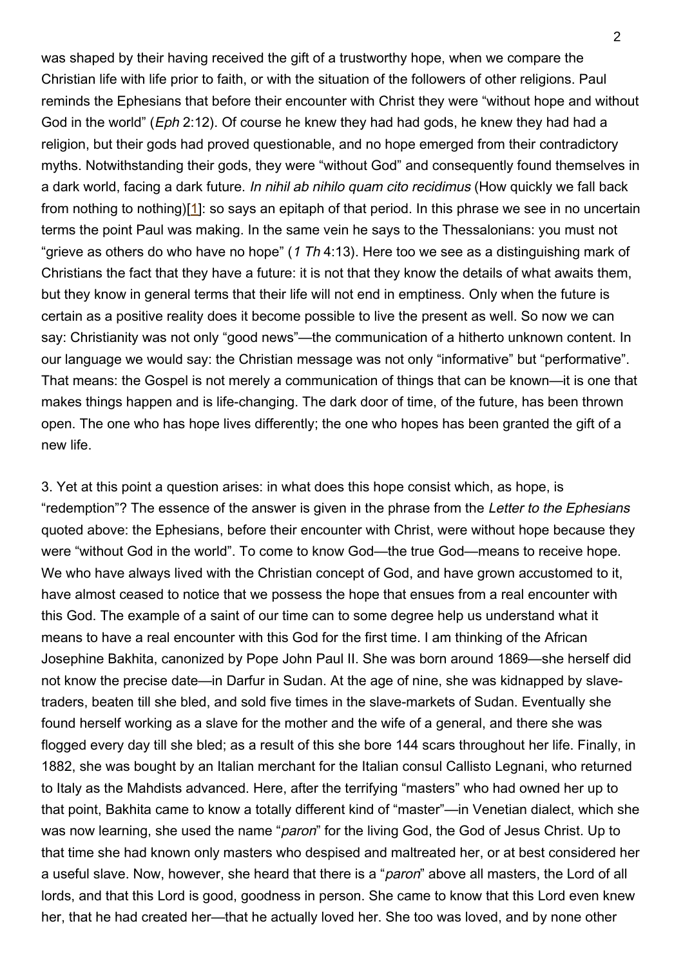was shaped by their having received the gift of a trustworthy hope, when we compare the Christian life with life prior to faith, or with the situation of the followers of other religions. Paul reminds the Ephesians that before their encounter with Christ they were "without hope and without God in the world" (Eph 2:12). Of course he knew they had had gods, he knew they had had a religion, but their gods had proved questionable, and no hope emerged from their contradictory myths. Notwithstanding their gods, they were "without God" and consequently found themselves in a dark world, facing a dark future. In nihil ab nihilo quam cito recidimus (How quickly we fall back from nothing to nothing)[1]: so says an epitaph of that period. In this phrase we see in no uncertain terms the point Paul was making. In the same vein he says to the Thessalonians: you must not "grieve as others do who have no hope"  $(1 Th 4:13)$ . Here too we see as a distinguishing mark of Christians the fact that they have a future: it is not that they know the details of what awaits them, but they know in general terms that their life will not end in emptiness. Only when the future is certain as a positive reality does it become possible to live the present as well. So now we can say: Christianity was not only "good news"—the communication of a hitherto unknown content. In our language we would say: the Christian message was not only "informative" but "performative". That means: the Gospel is not merely a communication of things that can be known—it is one that makes things happen and is life-changing. The dark door of time, of the future, has been thrown open. The one who has hope lives differently; the one who hopes has been granted the gift of a new life.

3. Yet at this point a question arises: in what does this hope consist which, as hope, is "redemption"? The essence of the answer is given in the phrase from the Letter to the Ephesians quoted above: the Ephesians, before their encounter with Christ, were without hope because they were "without God in the world". To come to know God—the true God—means to receive hope. We who have always lived with the Christian concept of God, and have grown accustomed to it, have almost ceased to notice that we possess the hope that ensues from a real encounter with this God. The example of a saint of our time can to some degree help us understand what it means to have a real encounter with this God for the first time. I am thinking of the African Josephine Bakhita, canonized by Pope John Paul II. She was born around 1869—she herself did not know the precise date—in Darfur in Sudan. At the age of nine, she was kidnapped by slavetraders, beaten till she bled, and sold five times in the slave-markets of Sudan. Eventually she found herself working as a slave for the mother and the wife of a general, and there she was flogged every day till she bled; as a result of this she bore 144 scars throughout her life. Finally, in 1882, she was bought by an Italian merchant for the Italian consul Callisto Legnani, who returned to Italy as the Mahdists advanced. Here, after the terrifying "masters" who had owned her up to that point, Bakhita came to know a totally different kind of "master"—in Venetian dialect, which she was now learning, she used the name "*paron*" for the living God, the God of Jesus Christ. Up to that time she had known only masters who despised and maltreated her, or at best considered her a useful slave. Now, however, she heard that there is a "*paron*" above all masters, the Lord of all lords, and that this Lord is good, goodness in person. She came to know that this Lord even knew her, that he had created her—that he actually loved her. She too was loved, and by none other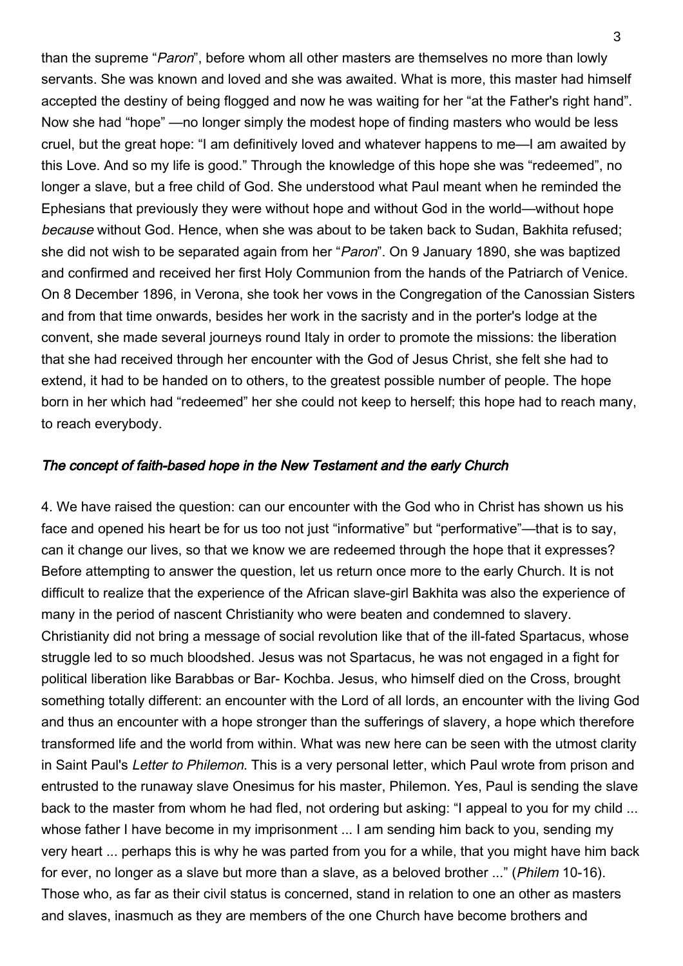than the supreme "Paron", before whom all other masters are themselves no more than lowly servants. She was known and loved and she was awaited. What is more, this master had himself accepted the destiny of being flogged and now he was waiting for her "at the Father's right hand". Now she had "hope" —no longer simply the modest hope of finding masters who would be less cruel, but the great hope: "I am definitively loved and whatever happens to me—I am awaited by this Love. And so my life is good." Through the knowledge of this hope she was "redeemed", no longer a slave, but a free child of God. She understood what Paul meant when he reminded the Ephesians that previously they were without hope and without God in the world—without hope because without God. Hence, when she was about to be taken back to Sudan, Bakhita refused; she did not wish to be separated again from her "Paron". On 9 January 1890, she was baptized and confirmed and received her first Holy Communion from the hands of the Patriarch of Venice. On 8 December 1896, in Verona, she took her vows in the Congregation of the Canossian Sisters and from that time onwards, besides her work in the sacristy and in the porter's lodge at the convent, she made several journeys round Italy in order to promote the missions: the liberation that she had received through her encounter with the God of Jesus Christ, she felt she had to extend, it had to be handed on to others, to the greatest possible number of people. The hope born in her which had "redeemed" her she could not keep to herself; this hope had to reach many, to reach everybody.

### The concept of faith-based hope in the New Testament and the early Church

4. We have raised the question: can our encounter with the God who in Christ has shown us his face and opened his heart be for us too not just "informative" but "performative"—that is to say, can it change our lives, so that we know we are redeemed through the hope that it expresses? Before attempting to answer the question, let us return once more to the early Church. It is not difficult to realize that the experience of the African slave-girl Bakhita was also the experience of many in the period of nascent Christianity who were beaten and condemned to slavery. Christianity did not bring a message of social revolution like that of the ill-fated Spartacus, whose struggle led to so much bloodshed. Jesus was not Spartacus, he was not engaged in a fight for political liberation like Barabbas or Bar- Kochba. Jesus, who himself died on the Cross, brought something totally different: an encounter with the Lord of all lords, an encounter with the living God and thus an encounter with a hope stronger than the sufferings of slavery, a hope which therefore transformed life and the world from within. What was new here can be seen with the utmost clarity in Saint Paul's Letter to Philemon. This is a very personal letter, which Paul wrote from prison and entrusted to the runaway slave Onesimus for his master, Philemon. Yes, Paul is sending the slave back to the master from whom he had fled, not ordering but asking: "I appeal to you for my child ... whose father I have become in my imprisonment ... I am sending him back to you, sending my very heart ... perhaps this is why he was parted from you for a while, that you might have him back for ever, no longer as a slave but more than a slave, as a beloved brother ..." (Philem 10-16). Those who, as far as their civil status is concerned, stand in relation to one an other as masters and slaves, inasmuch as they are members of the one Church have become brothers and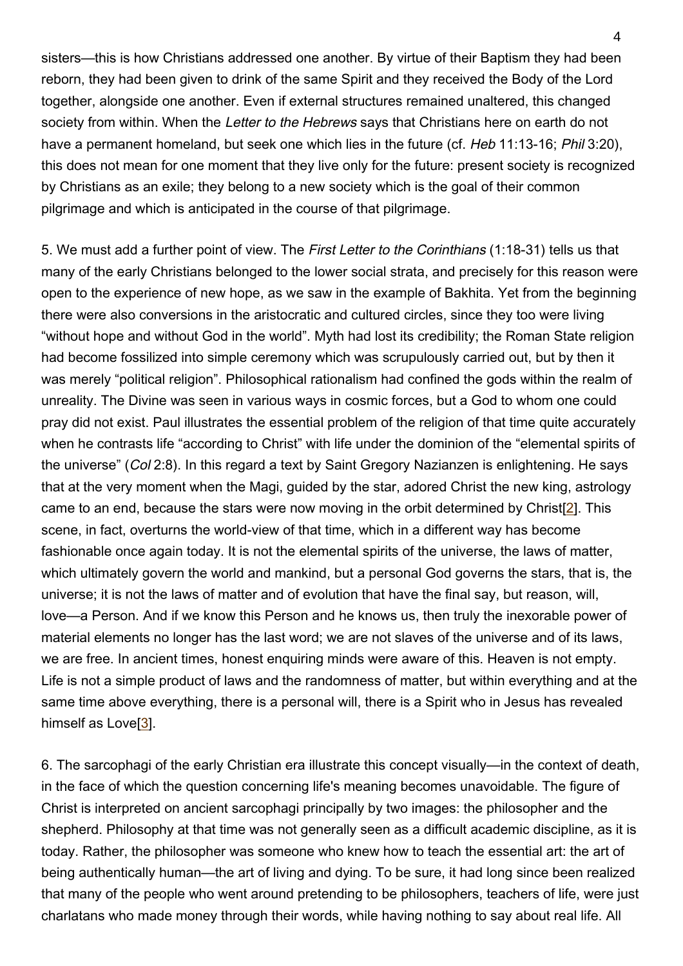sisters—this is how Christians addressed one another. By virtue of their Baptism they had been reborn, they had been given to drink of the same Spirit and they received the Body of the Lord together, alongside one another. Even if external structures remained unaltered, this changed society from within. When the Letter to the Hebrews says that Christians here on earth do not have a permanent homeland, but seek one which lies in the future (cf. Heb 11:13-16; Phil 3:20), this does not mean for one moment that they live only for the future: present society is recognized by Christians as an exile; they belong to a new society which is the goal of their common pilgrimage and which is anticipated in the course of that pilgrimage.

5. We must add a further point of view. The First Letter to the Corinthians (1:18-31) tells us that many of the early Christians belonged to the lower social strata, and precisely for this reason were open to the experience of new hope, as we saw in the example of Bakhita. Yet from the beginning there were also conversions in the aristocratic and cultured circles, since they too were living "without hope and without God in the world". Myth had lost its credibility; the Roman State religion had become fossilized into simple ceremony which was scrupulously carried out, but by then it was merely "political religion". Philosophical rationalism had confined the gods within the realm of unreality. The Divine was seen in various ways in cosmic forces, but a God to whom one could pray did not exist. Paul illustrates the essential problem of the religion of that time quite accurately when he contrasts life "according to Christ" with life under the dominion of the "elemental spirits of the universe" (Col 2:8). In this regard a text by Saint Gregory Nazianzen is enlightening. He says that at the very moment when the Magi, guided by the star, adored Christ the new king, astrology came to an end, because the stars were now moving in the orbit determined by Christ[2]. This scene, in fact, overturns the world-view of that time, which in a different way has become fashionable once again today. It is not the elemental spirits of the universe, the laws of matter, which ultimately govern the world and mankind, but a personal God governs the stars, that is, the universe; it is not the laws of matter and of evolution that have the final say, but reason, will, love—a Person. And if we know this Person and he knows us, then truly the inexorable power of material elements no longer has the last word; we are not slaves of the universe and of its laws, we are free. In ancient times, honest enquiring minds were aware of this. Heaven is not empty. Life is not a simple product of laws and the randomness of matter, but within everything and at the same time above everything, there is a personal will, there is a Spirit who in Jesus has revealed himself as Love[3].

6. The sarcophagi of the early Christian era illustrate this concept visually—in the context of death, in the face of which the question concerning life's meaning becomes unavoidable. The figure of Christ is interpreted on ancient sarcophagi principally by two images: the philosopher and the shepherd. Philosophy at that time was not generally seen as a difficult academic discipline, as it is today. Rather, the philosopher was someone who knew how to teach the essential art: the art of being authentically human—the art of living and dying. To be sure, it had long since been realized that many of the people who went around pretending to be philosophers, teachers of life, were just charlatans who made money through their words, while having nothing to say about real life. All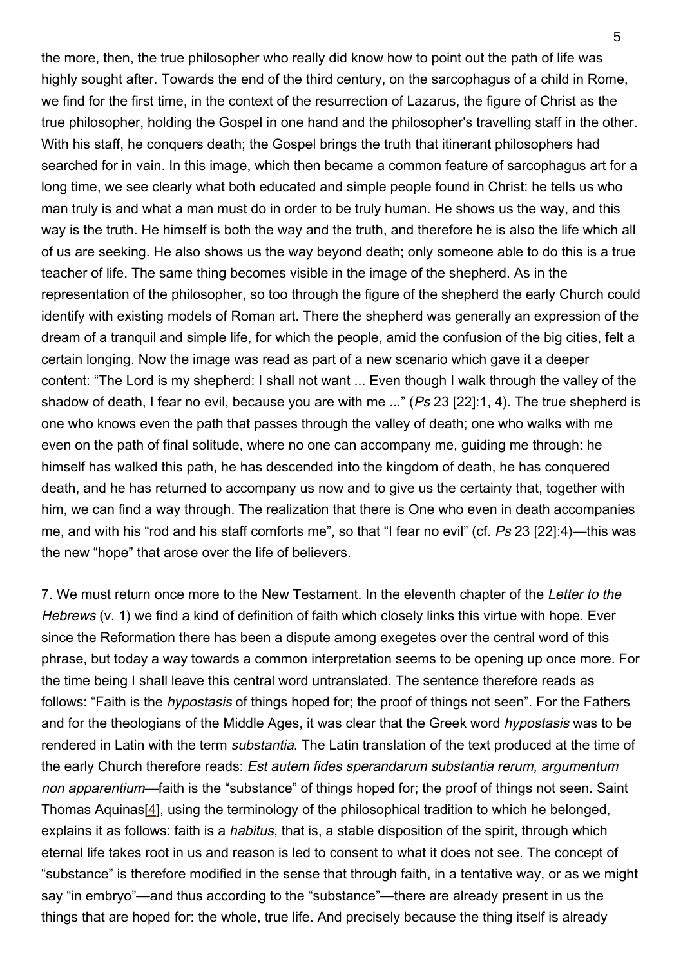the more, then, the true philosopher who really did know how to point out the path of life was highly sought after. Towards the end of the third century, on the sarcophagus of a child in Rome, we find for the first time, in the context of the resurrection of Lazarus, the figure of Christ as the true philosopher, holding the Gospel in one hand and the philosopher's travelling staff in the other. With his staff, he conquers death; the Gospel brings the truth that itinerant philosophers had searched for in vain. In this image, which then became a common feature of sarcophagus art for a long time, we see clearly what both educated and simple people found in Christ: he tells us who man truly is and what a man must do in order to be truly human. He shows us the way, and this way is the truth. He himself is both the way and the truth, and therefore he is also the life which all of us are seeking. He also shows us the way beyond death; only someone able to do this is a true teacher of life. The same thing becomes visible in the image of the shepherd. As in the representation of the philosopher, so too through the figure of the shepherd the early Church could identify with existing models of Roman art. There the shepherd was generally an expression of the dream of a tranquil and simple life, for which the people, amid the confusion of the big cities, felt a certain longing. Now the image was read as part of a new scenario which gave it a deeper content: "The Lord is my shepherd: I shall not want ... Even though I walk through the valley of the shadow of death, I fear no evil, because you are with me ..." (Ps 23 [22]:1, 4). The true shepherd is one who knows even the path that passes through the valley of death; one who walks with me even on the path of final solitude, where no one can accompany me, guiding me through: he himself has walked this path, he has descended into the kingdom of death, he has conquered death, and he has returned to accompany us now and to give us the certainty that, together with him, we can find a way through. The realization that there is One who even in death accompanies me, and with his "rod and his staff comforts me", so that "I fear no evil" (cf. Ps 23 [22]:4)—this was the new "hope" that arose over the life of believers.

7. We must return once more to the New Testament. In the eleventh chapter of the Letter to the Hebrews (v. 1) we find a kind of definition of faith which closely links this virtue with hope. Ever since the Reformation there has been a dispute among exegetes over the central word of this phrase, but today a way towards a common interpretation seems to be opening up once more. For the time being I shall leave this central word untranslated. The sentence therefore reads as follows: "Faith is the *hypostasis* of things hoped for; the proof of things not seen". For the Fathers and for the theologians of the Middle Ages, it was clear that the Greek word hypostasis was to be rendered in Latin with the term *substantia*. The Latin translation of the text produced at the time of the early Church therefore reads: Est autem fides sperandarum substantia rerum, argumentum non apparentium—faith is the "substance" of things hoped for; the proof of things not seen. Saint Thomas Aquinas[4], using the terminology of the philosophical tradition to which he belonged, explains it as follows: faith is a *habitus*, that is, a stable disposition of the spirit, through which eternal life takes root in us and reason is led to consent to what it does not see. The concept of "substance" is therefore modified in the sense that through faith, in a tentative way, or as we might say "in embryo"—and thus according to the "substance"—there are already present in us the things that are hoped for: the whole, true life. And precisely because the thing itself is already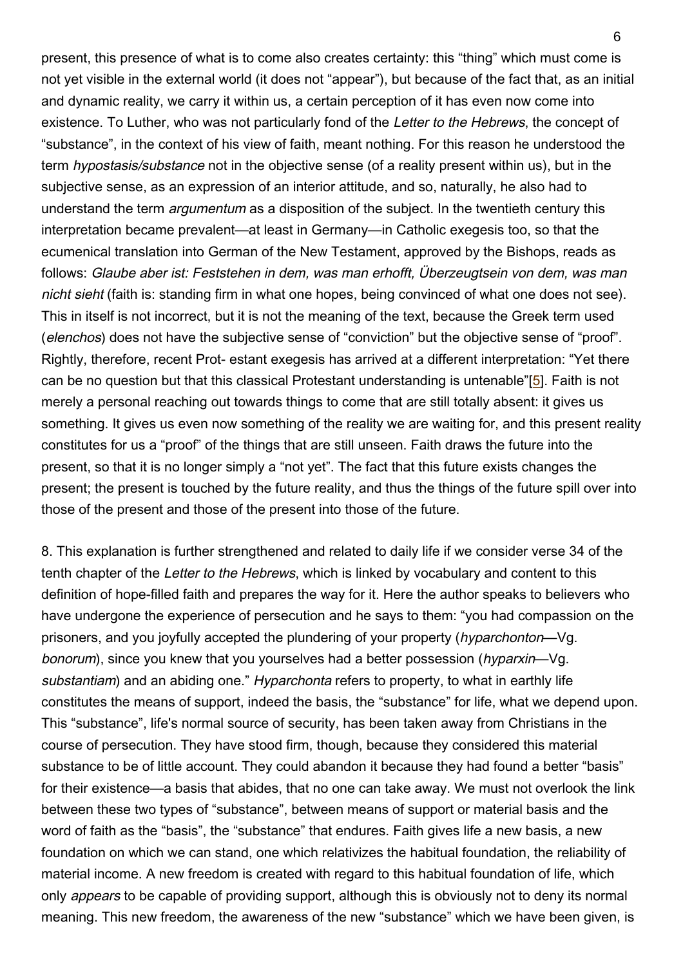present, this presence of what is to come also creates certainty: this "thing" which must come is not yet visible in the external world (it does not "appear"), but because of the fact that, as an initial and dynamic reality, we carry it within us, a certain perception of it has even now come into existence. To Luther, who was not particularly fond of the Letter to the Hebrews, the concept of "substance", in the context of his view of faith, meant nothing. For this reason he understood the term hypostasis/substance not in the objective sense (of a reality present within us), but in the subjective sense, as an expression of an interior attitude, and so, naturally, he also had to understand the term *argumentum* as a disposition of the subject. In the twentieth century this interpretation became prevalent—at least in Germany—in Catholic exegesis too, so that the ecumenical translation into German of the New Testament, approved by the Bishops, reads as follows: Glaube aber ist: Feststehen in dem, was man erhofft, Überzeugtsein von dem, was man nicht sieht (faith is: standing firm in what one hopes, being convinced of what one does not see). This in itself is not incorrect, but it is not the meaning of the text, because the Greek term used (elenchos) does not have the subjective sense of "conviction" but the objective sense of "proof". Rightly, therefore, recent Prot- estant exegesis has arrived at a different interpretation: "Yet there can be no question but that this classical Protestant understanding is untenable"[5]. Faith is not merely a personal reaching out towards things to come that are still totally absent: it gives us something. It gives us even now something of the reality we are waiting for, and this present reality constitutes for us a "proof" of the things that are still unseen. Faith draws the future into the present, so that it is no longer simply a "not yet". The fact that this future exists changes the present; the present is touched by the future reality, and thus the things of the future spill over into those of the present and those of the present into those of the future.

8. This explanation is further strengthened and related to daily life if we consider verse 34 of the tenth chapter of the Letter to the Hebrews, which is linked by vocabulary and content to this definition of hope-filled faith and prepares the way for it. Here the author speaks to believers who have undergone the experience of persecution and he says to them: "you had compassion on the prisoners, and you joyfully accepted the plundering of your property (hyparchonton—Vg. bonorum), since you knew that you yourselves had a better possession (hyparxin—Vg. substantiam) and an abiding one." Hyparchonta refers to property, to what in earthly life constitutes the means of support, indeed the basis, the "substance" for life, what we depend upon. This "substance", life's normal source of security, has been taken away from Christians in the course of persecution. They have stood firm, though, because they considered this material substance to be of little account. They could abandon it because they had found a better "basis" for their existence—a basis that abides, that no one can take away. We must not overlook the link between these two types of "substance", between means of support or material basis and the word of faith as the "basis", the "substance" that endures. Faith gives life a new basis, a new foundation on which we can stand, one which relativizes the habitual foundation, the reliability of material income. A new freedom is created with regard to this habitual foundation of life, which only appears to be capable of providing support, although this is obviously not to deny its normal meaning. This new freedom, the awareness of the new "substance" which we have been given, is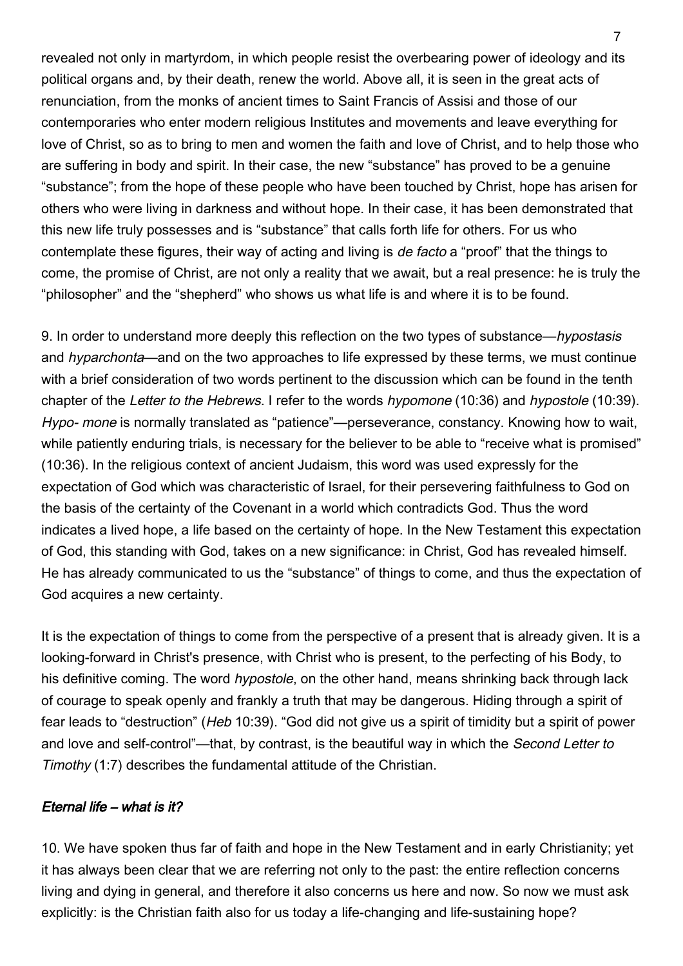revealed not only in martyrdom, in which people resist the overbearing power of ideology and its political organs and, by their death, renew the world. Above all, it is seen in the great acts of renunciation, from the monks of ancient times to Saint Francis of Assisi and those of our contemporaries who enter modern religious Institutes and movements and leave everything for love of Christ, so as to bring to men and women the faith and love of Christ, and to help those who are suffering in body and spirit. In their case, the new "substance" has proved to be a genuine "substance"; from the hope of these people who have been touched by Christ, hope has arisen for others who were living in darkness and without hope. In their case, it has been demonstrated that this new life truly possesses and is "substance" that calls forth life for others. For us who contemplate these figures, their way of acting and living is de facto a "proof" that the things to come, the promise of Christ, are not only a reality that we await, but a real presence: he is truly the "philosopher" and the "shepherd" who shows us what life is and where it is to be found.

9. In order to understand more deeply this reflection on the two types of substance—hypostasis and *hyparchonta*—and on the two approaches to life expressed by these terms, we must continue with a brief consideration of two words pertinent to the discussion which can be found in the tenth chapter of the Letter to the Hebrews. I refer to the words hypomone (10:36) and hypostole (10:39). Hypo- mone is normally translated as "patience"—perseverance, constancy. Knowing how to wait, while patiently enduring trials, is necessary for the believer to be able to "receive what is promised" (10:36). In the religious context of ancient Judaism, this word was used expressly for the expectation of God which was characteristic of Israel, for their persevering faithfulness to God on the basis of the certainty of the Covenant in a world which contradicts God. Thus the word indicates a lived hope, a life based on the certainty of hope. In the New Testament this expectation of God, this standing with God, takes on a new significance: in Christ, God has revealed himself. He has already communicated to us the "substance" of things to come, and thus the expectation of God acquires a new certainty.

It is the expectation of things to come from the perspective of a present that is already given. It is a looking-forward in Christ's presence, with Christ who is present, to the perfecting of his Body, to his definitive coming. The word *hypostole*, on the other hand, means shrinking back through lack of courage to speak openly and frankly a truth that may be dangerous. Hiding through a spirit of fear leads to "destruction" (Heb 10:39). "God did not give us a spirit of timidity but a spirit of power and love and self-control"—that, by contrast, is the beautiful way in which the Second Letter to Timothy (1:7) describes the fundamental attitude of the Christian.

### Eternal life – what is it?

10. We have spoken thus far of faith and hope in the New Testament and in early Christianity; yet it has always been clear that we are referring not only to the past: the entire reflection concerns living and dying in general, and therefore it also concerns us here and now. So now we must ask explicitly: is the Christian faith also for us today a life-changing and life-sustaining hope?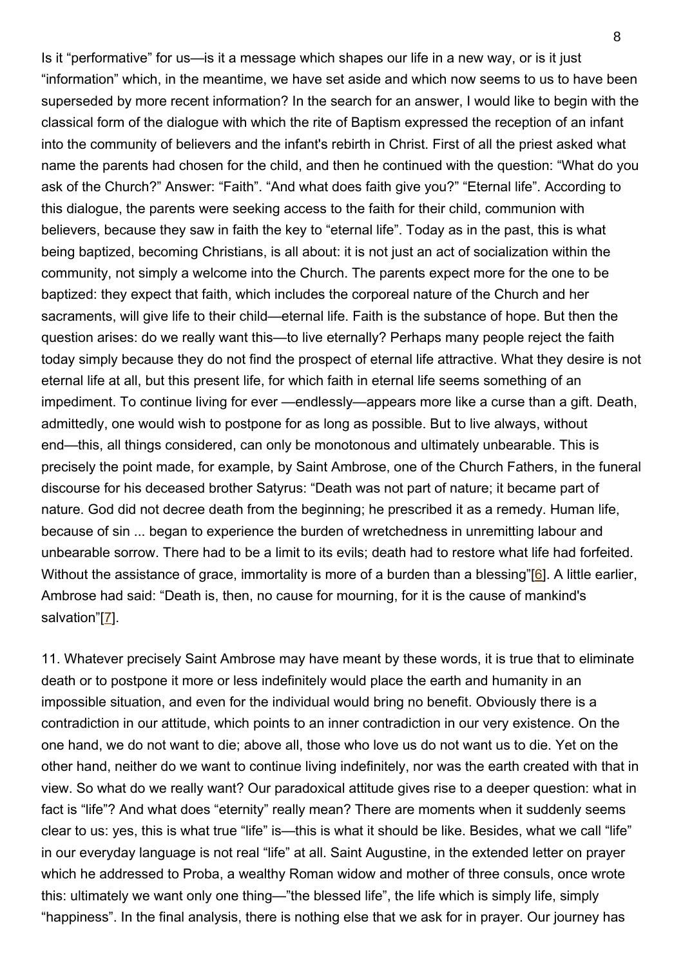Is it "performative" for us—is it a message which shapes our life in a new way, or is it just "information" which, in the meantime, we have set aside and which now seems to us to have been superseded by more recent information? In the search for an answer, I would like to begin with the classical form of the dialogue with which the rite of Baptism expressed the reception of an infant into the community of believers and the infant's rebirth in Christ. First of all the priest asked what name the parents had chosen for the child, and then he continued with the question: "What do you ask of the Church?" Answer: "Faith". "And what does faith give you?" "Eternal life". According to this dialogue, the parents were seeking access to the faith for their child, communion with believers, because they saw in faith the key to "eternal life". Today as in the past, this is what being baptized, becoming Christians, is all about: it is not just an act of socialization within the community, not simply a welcome into the Church. The parents expect more for the one to be baptized: they expect that faith, which includes the corporeal nature of the Church and her sacraments, will give life to their child—eternal life. Faith is the substance of hope. But then the question arises: do we really want this—to live eternally? Perhaps many people reject the faith today simply because they do not find the prospect of eternal life attractive. What they desire is not eternal life at all, but this present life, for which faith in eternal life seems something of an impediment. To continue living for ever —endlessly—appears more like a curse than a gift. Death, admittedly, one would wish to postpone for as long as possible. But to live always, without end—this, all things considered, can only be monotonous and ultimately unbearable. This is precisely the point made, for example, by Saint Ambrose, one of the Church Fathers, in the funeral discourse for his deceased brother Satyrus: "Death was not part of nature; it became part of nature. God did not decree death from the beginning; he prescribed it as a remedy. Human life, because of sin ... began to experience the burden of wretchedness in unremitting labour and unbearable sorrow. There had to be a limit to its evils; death had to restore what life had forfeited. Without the assistance of grace, immortality is more of a burden than a blessing"[6]. A little earlier, Ambrose had said: "Death is, then, no cause for mourning, for it is the cause of mankind's salvation"[7].

11. Whatever precisely Saint Ambrose may have meant by these words, it is true that to eliminate death or to postpone it more or less indefinitely would place the earth and humanity in an impossible situation, and even for the individual would bring no benefit. Obviously there is a contradiction in our attitude, which points to an inner contradiction in our very existence. On the one hand, we do not want to die; above all, those who love us do not want us to die. Yet on the other hand, neither do we want to continue living indefinitely, nor was the earth created with that in view. So what do we really want? Our paradoxical attitude gives rise to a deeper question: what in fact is "life"? And what does "eternity" really mean? There are moments when it suddenly seems clear to us: yes, this is what true "life" is—this is what it should be like. Besides, what we call "life" in our everyday language is not real "life" at all. Saint Augustine, in the extended letter on prayer which he addressed to Proba, a wealthy Roman widow and mother of three consuls, once wrote this: ultimately we want only one thing—"the blessed life", the life which is simply life, simply "happiness". In the final analysis, there is nothing else that we ask for in prayer. Our journey has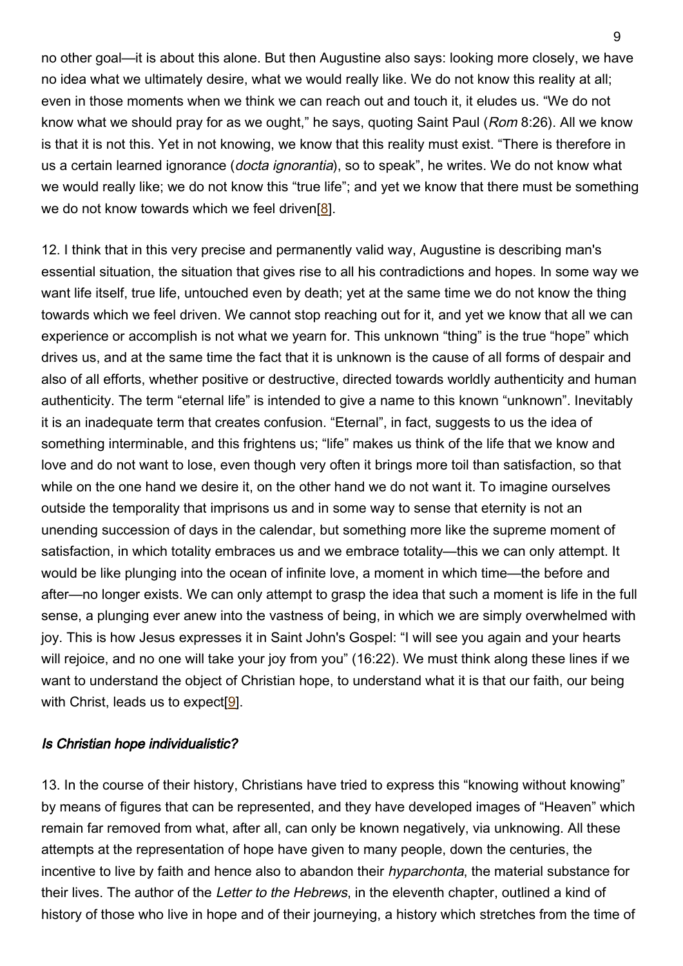no other goal—it is about this alone. But then Augustine also says: looking more closely, we have no idea what we ultimately desire, what we would really like. We do not know this reality at all; even in those moments when we think we can reach out and touch it, it eludes us. "We do not know what we should pray for as we ought," he says, quoting Saint Paul (Rom 8:26). All we know is that it is not this. Yet in not knowing, we know that this reality must exist. "There is therefore in us a certain learned ignorance (docta ignorantia), so to speak", he writes. We do not know what we would really like; we do not know this "true life"; and yet we know that there must be something we do not know towards which we feel driven[8].

12. I think that in this very precise and permanently valid way, Augustine is describing man's essential situation, the situation that gives rise to all his contradictions and hopes. In some way we want life itself, true life, untouched even by death; yet at the same time we do not know the thing towards which we feel driven. We cannot stop reaching out for it, and yet we know that all we can experience or accomplish is not what we yearn for. This unknown "thing" is the true "hope" which drives us, and at the same time the fact that it is unknown is the cause of all forms of despair and also of all efforts, whether positive or destructive, directed towards worldly authenticity and human authenticity. The term "eternal life" is intended to give a name to this known "unknown". Inevitably it is an inadequate term that creates confusion. "Eternal", in fact, suggests to us the idea of something interminable, and this frightens us; "life" makes us think of the life that we know and love and do not want to lose, even though very often it brings more toil than satisfaction, so that while on the one hand we desire it, on the other hand we do not want it. To imagine ourselves outside the temporality that imprisons us and in some way to sense that eternity is not an unending succession of days in the calendar, but something more like the supreme moment of satisfaction, in which totality embraces us and we embrace totality—this we can only attempt. It would be like plunging into the ocean of infinite love, a moment in which time—the before and after—no longer exists. We can only attempt to grasp the idea that such a moment is life in the full sense, a plunging ever anew into the vastness of being, in which we are simply overwhelmed with joy. This is how Jesus expresses it in Saint John's Gospel: "I will see you again and your hearts will rejoice, and no one will take your joy from you" (16:22). We must think along these lines if we want to understand the object of Christian hope, to understand what it is that our faith, our being with Christ, leads us to expect<sup>[9]</sup>.

#### Is Christian hope individualistic?

13. In the course of their history, Christians have tried to express this "knowing without knowing" by means of figures that can be represented, and they have developed images of "Heaven" which remain far removed from what, after all, can only be known negatively, via unknowing. All these attempts at the representation of hope have given to many people, down the centuries, the incentive to live by faith and hence also to abandon their *hyparchonta*, the material substance for their lives. The author of the Letter to the Hebrews, in the eleventh chapter, outlined a kind of history of those who live in hope and of their journeying, a history which stretches from the time of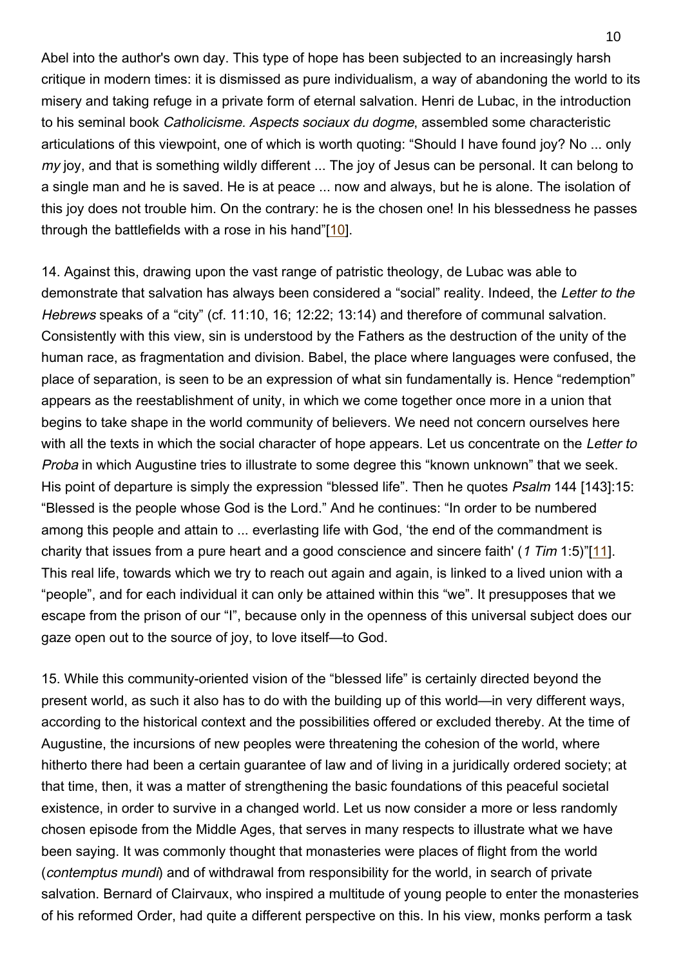Abel into the author's own day. This type of hope has been subjected to an increasingly harsh critique in modern times: it is dismissed as pure individualism, a way of abandoning the world to its misery and taking refuge in a private form of eternal salvation. Henri de Lubac, in the introduction to his seminal book Catholicisme. Aspects sociaux du dogme, assembled some characteristic articulations of this viewpoint, one of which is worth quoting: "Should I have found joy? No ... only my joy, and that is something wildly different ... The joy of Jesus can be personal. It can belong to a single man and he is saved. He is at peace ... now and always, but he is alone. The isolation of this joy does not trouble him. On the contrary: he is the chosen one! In his blessedness he passes through the battlefields with a rose in his hand"[10].

14. Against this, drawing upon the vast range of patristic theology, de Lubac was able to demonstrate that salvation has always been considered a "social" reality. Indeed, the Letter to the Hebrews speaks of a "city" (cf. 11:10, 16; 12:22; 13:14) and therefore of communal salvation. Consistently with this view, sin is understood by the Fathers as the destruction of the unity of the human race, as fragmentation and division. Babel, the place where languages were confused, the place of separation, is seen to be an expression of what sin fundamentally is. Hence "redemption" appears as the reestablishment of unity, in which we come together once more in a union that begins to take shape in the world community of believers. We need not concern ourselves here with all the texts in which the social character of hope appears. Let us concentrate on the Letter to Proba in which Augustine tries to illustrate to some degree this "known unknown" that we seek. His point of departure is simply the expression "blessed life". Then he quotes Psalm 144 [143]:15: "Blessed is the people whose God is the Lord." And he continues: "In order to be numbered among this people and attain to ... everlasting life with God, 'the end of the commandment is charity that issues from a pure heart and a good conscience and sincere faith'  $(1 Tim 1:5)$ <sup>"</sup>[11]. This real life, towards which we try to reach out again and again, is linked to a lived union with a "people", and for each individual it can only be attained within this "we". It presupposes that we escape from the prison of our "I", because only in the openness of this universal subject does our gaze open out to the source of joy, to love itself—to God.

15. While this community-oriented vision of the "blessed life" is certainly directed beyond the present world, as such it also has to do with the building up of this world—in very different ways, according to the historical context and the possibilities offered or excluded thereby. At the time of Augustine, the incursions of new peoples were threatening the cohesion of the world, where hitherto there had been a certain guarantee of law and of living in a juridically ordered society; at that time, then, it was a matter of strengthening the basic foundations of this peaceful societal existence, in order to survive in a changed world. Let us now consider a more or less randomly chosen episode from the Middle Ages, that serves in many respects to illustrate what we have been saying. It was commonly thought that monasteries were places of flight from the world (contemptus mundi) and of withdrawal from responsibility for the world, in search of private salvation. Bernard of Clairvaux, who inspired a multitude of young people to enter the monasteries of his reformed Order, had quite a different perspective on this. In his view, monks perform a task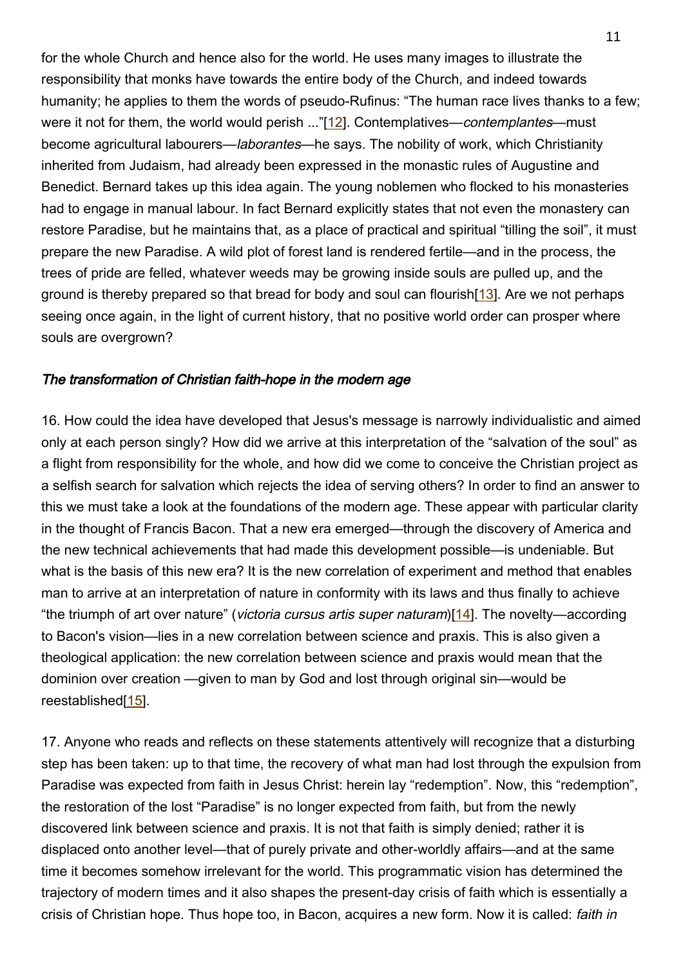for the whole Church and hence also for the world. He uses many images to illustrate the responsibility that monks have towards the entire body of the Church, and indeed towards humanity; he applies to them the words of pseudo-Rufinus: "The human race lives thanks to a few; were it not for them, the world would perish ..."[12]. Contemplatives—contemplantes—must become agricultural labourers—laborantes—he says. The nobility of work, which Christianity inherited from Judaism, had already been expressed in the monastic rules of Augustine and Benedict. Bernard takes up this idea again. The young noblemen who flocked to his monasteries had to engage in manual labour. In fact Bernard explicitly states that not even the monastery can restore Paradise, but he maintains that, as a place of practical and spiritual "tilling the soil", it must prepare the new Paradise. A wild plot of forest land is rendered fertile—and in the process, the trees of pride are felled, whatever weeds may be growing inside souls are pulled up, and the ground is thereby prepared so that bread for body and soul can flourish [13]. Are we not perhaps seeing once again, in the light of current history, that no positive world order can prosper where souls are overgrown?

#### The transformation of Christian faith-hope in the modern age

16. How could the idea have developed that Jesus's message is narrowly individualistic and aimed only at each person singly? How did we arrive at this interpretation of the "salvation of the soul" as a flight from responsibility for the whole, and how did we come to conceive the Christian project as a selfish search for salvation which rejects the idea of serving others? In order to find an answer to this we must take a look at the foundations of the modern age. These appear with particular clarity in the thought of Francis Bacon. That a new era emerged—through the discovery of America and the new technical achievements that had made this development possible—is undeniable. But what is the basis of this new era? It is the new correlation of experiment and method that enables man to arrive at an interpretation of nature in conformity with its laws and thus finally to achieve "the triumph of art over nature" (victoria cursus artis super naturam)[14]. The novelty—according to Bacon's vision—lies in a new correlation between science and praxis. This is also given a theological application: the new correlation between science and praxis would mean that the dominion over creation —given to man by God and lost through original sin—would be reestablished[15].

17. Anyone who reads and reflects on these statements attentively will recognize that a disturbing step has been taken: up to that time, the recovery of what man had lost through the expulsion from Paradise was expected from faith in Jesus Christ: herein lay "redemption". Now, this "redemption", the restoration of the lost "Paradise" is no longer expected from faith, but from the newly discovered link between science and praxis. It is not that faith is simply denied; rather it is displaced onto another level—that of purely private and other-worldly affairs—and at the same time it becomes somehow irrelevant for the world. This programmatic vision has determined the trajectory of modern times and it also shapes the present-day crisis of faith which is essentially a crisis of Christian hope. Thus hope too, in Bacon, acquires a new form. Now it is called: faith in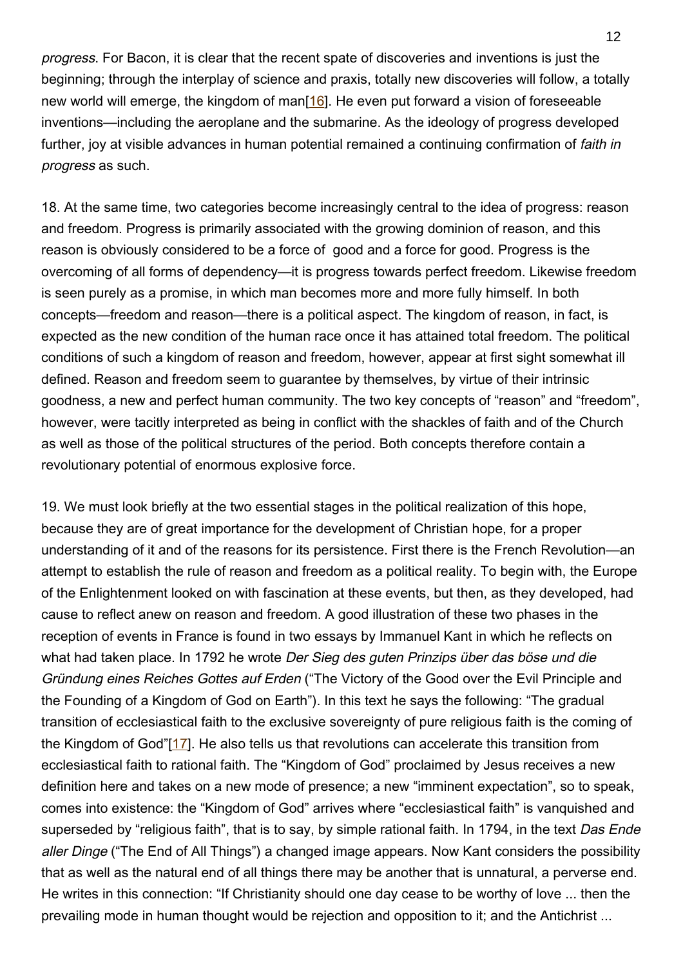progress. For Bacon, it is clear that the recent spate of discoveries and inventions is just the beginning; through the interplay of science and praxis, totally new discoveries will follow, a totally new world will emerge, the kingdom of man<sup>[16]</sup>. He even put forward a vision of foreseeable inventions—including the aeroplane and the submarine. As the ideology of progress developed further, joy at visible advances in human potential remained a continuing confirmation of faith in progress as such.

18. At the same time, two categories become increasingly central to the idea of progress: reason and freedom. Progress is primarily associated with the growing dominion of reason, and this reason is obviously considered to be a force of good and a force for good. Progress is the overcoming of all forms of dependency—it is progress towards perfect freedom. Likewise freedom is seen purely as a promise, in which man becomes more and more fully himself. In both concepts—freedom and reason—there is a political aspect. The kingdom of reason, in fact, is expected as the new condition of the human race once it has attained total freedom. The political conditions of such a kingdom of reason and freedom, however, appear at first sight somewhat ill defined. Reason and freedom seem to guarantee by themselves, by virtue of their intrinsic goodness, a new and perfect human community. The two key concepts of "reason" and "freedom", however, were tacitly interpreted as being in conflict with the shackles of faith and of the Church as well as those of the political structures of the period. Both concepts therefore contain a revolutionary potential of enormous explosive force.

19. We must look briefly at the two essential stages in the political realization of this hope, because they are of great importance for the development of Christian hope, for a proper understanding of it and of the reasons for its persistence. First there is the French Revolution—an attempt to establish the rule of reason and freedom as a political reality. To begin with, the Europe of the Enlightenment looked on with fascination at these events, but then, as they developed, had cause to reflect anew on reason and freedom. A good illustration of these two phases in the reception of events in France is found in two essays by Immanuel Kant in which he reflects on what had taken place. In 1792 he wrote Der Sieg des guten Prinzips über das böse und die Gründung eines Reiches Gottes auf Erden ("The Victory of the Good over the Evil Principle and the Founding of a Kingdom of God on Earth"). In this text he says the following: "The gradual transition of ecclesiastical faith to the exclusive sovereignty of pure religious faith is the coming of the Kingdom of God"[17]. He also tells us that revolutions can accelerate this transition from ecclesiastical faith to rational faith. The "Kingdom of God" proclaimed by Jesus receives a new definition here and takes on a new mode of presence; a new "imminent expectation", so to speak, comes into existence: the "Kingdom of God" arrives where "ecclesiastical faith" is vanquished and superseded by "religious faith", that is to say, by simple rational faith. In 1794, in the text Das Ende aller Dinge ("The End of All Things") a changed image appears. Now Kant considers the possibility that as well as the natural end of all things there may be another that is unnatural, a perverse end. He writes in this connection: "If Christianity should one day cease to be worthy of love ... then the prevailing mode in human thought would be rejection and opposition to it; and the Antichrist ...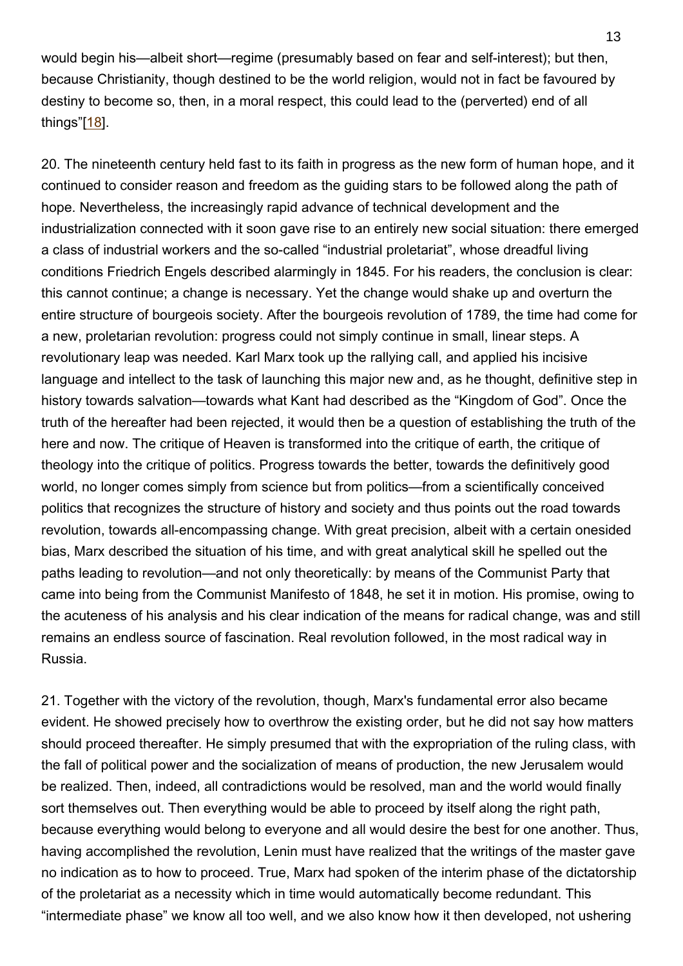would begin his—albeit short—regime (presumably based on fear and self-interest); but then, because Christianity, though destined to be the world religion, would not in fact be favoured by destiny to become so, then, in a moral respect, this could lead to the (perverted) end of all things"[18].

20. The nineteenth century held fast to its faith in progress as the new form of human hope, and it continued to consider reason and freedom as the guiding stars to be followed along the path of hope. Nevertheless, the increasingly rapid advance of technical development and the industrialization connected with it soon gave rise to an entirely new social situation: there emerged a class of industrial workers and the so-called "industrial proletariat", whose dreadful living conditions Friedrich Engels described alarmingly in 1845. For his readers, the conclusion is clear: this cannot continue; a change is necessary. Yet the change would shake up and overturn the entire structure of bourgeois society. After the bourgeois revolution of 1789, the time had come for a new, proletarian revolution: progress could not simply continue in small, linear steps. A revolutionary leap was needed. Karl Marx took up the rallying call, and applied his incisive language and intellect to the task of launching this major new and, as he thought, definitive step in history towards salvation—towards what Kant had described as the "Kingdom of God". Once the truth of the hereafter had been rejected, it would then be a question of establishing the truth of the here and now. The critique of Heaven is transformed into the critique of earth, the critique of theology into the critique of politics. Progress towards the better, towards the definitively good world, no longer comes simply from science but from politics—from a scientifically conceived politics that recognizes the structure of history and society and thus points out the road towards revolution, towards all-encompassing change. With great precision, albeit with a certain onesided bias, Marx described the situation of his time, and with great analytical skill he spelled out the paths leading to revolution—and not only theoretically: by means of the Communist Party that came into being from the Communist Manifesto of 1848, he set it in motion. His promise, owing to the acuteness of his analysis and his clear indication of the means for radical change, was and still remains an endless source of fascination. Real revolution followed, in the most radical way in Russia.

21. Together with the victory of the revolution, though, Marx's fundamental error also became evident. He showed precisely how to overthrow the existing order, but he did not say how matters should proceed thereafter. He simply presumed that with the expropriation of the ruling class, with the fall of political power and the socialization of means of production, the new Jerusalem would be realized. Then, indeed, all contradictions would be resolved, man and the world would finally sort themselves out. Then everything would be able to proceed by itself along the right path, because everything would belong to everyone and all would desire the best for one another. Thus, having accomplished the revolution, Lenin must have realized that the writings of the master gave no indication as to how to proceed. True, Marx had spoken of the interim phase of the dictatorship of the proletariat as a necessity which in time would automatically become redundant. This "intermediate phase" we know all too well, and we also know how it then developed, not ushering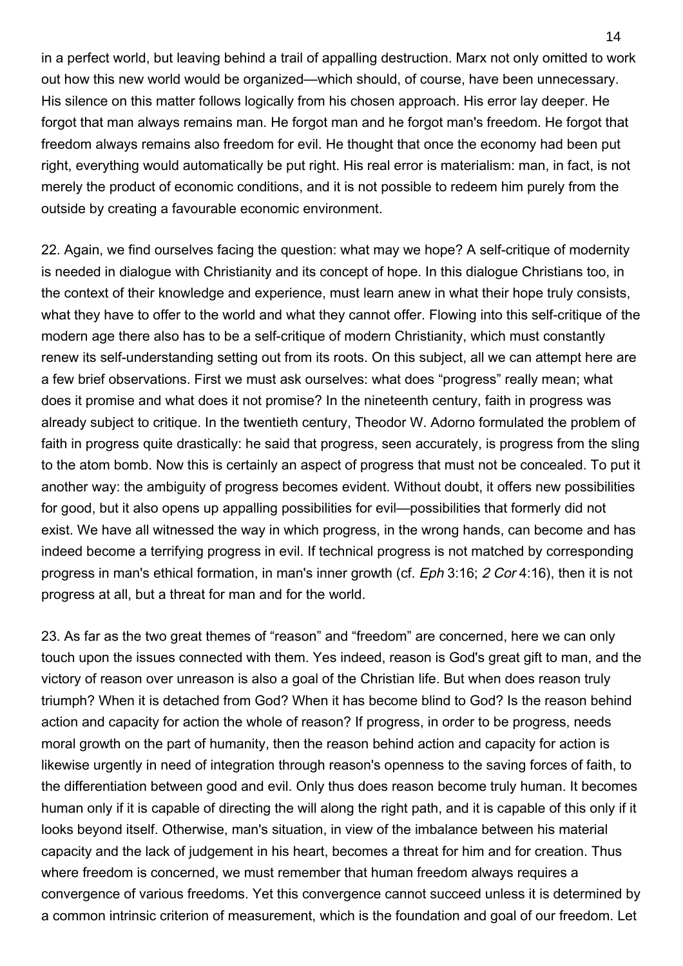in a perfect world, but leaving behind a trail of appalling destruction. Marx not only omitted to work out how this new world would be organized—which should, of course, have been unnecessary. His silence on this matter follows logically from his chosen approach. His error lay deeper. He forgot that man always remains man. He forgot man and he forgot man's freedom. He forgot that freedom always remains also freedom for evil. He thought that once the economy had been put right, everything would automatically be put right. His real error is materialism: man, in fact, is not merely the product of economic conditions, and it is not possible to redeem him purely from the outside by creating a favourable economic environment.

22. Again, we find ourselves facing the question: what may we hope? A self-critique of modernity is needed in dialogue with Christianity and its concept of hope. In this dialogue Christians too, in the context of their knowledge and experience, must learn anew in what their hope truly consists, what they have to offer to the world and what they cannot offer. Flowing into this self-critique of the modern age there also has to be a self-critique of modern Christianity, which must constantly renew its self-understanding setting out from its roots. On this subject, all we can attempt here are a few brief observations. First we must ask ourselves: what does "progress" really mean; what does it promise and what does it not promise? In the nineteenth century, faith in progress was already subject to critique. In the twentieth century, Theodor W. Adorno formulated the problem of faith in progress quite drastically: he said that progress, seen accurately, is progress from the sling to the atom bomb. Now this is certainly an aspect of progress that must not be concealed. To put it another way: the ambiguity of progress becomes evident. Without doubt, it offers new possibilities for good, but it also opens up appalling possibilities for evil—possibilities that formerly did not exist. We have all witnessed the way in which progress, in the wrong hands, can become and has indeed become a terrifying progress in evil. If technical progress is not matched by corresponding progress in man's ethical formation, in man's inner growth (cf. Eph 3:16; 2 Cor 4:16), then it is not progress at all, but a threat for man and for the world.

23. As far as the two great themes of "reason" and "freedom" are concerned, here we can only touch upon the issues connected with them. Yes indeed, reason is God's great gift to man, and the victory of reason over unreason is also a goal of the Christian life. But when does reason truly triumph? When it is detached from God? When it has become blind to God? Is the reason behind action and capacity for action the whole of reason? If progress, in order to be progress, needs moral growth on the part of humanity, then the reason behind action and capacity for action is likewise urgently in need of integration through reason's openness to the saving forces of faith, to the differentiation between good and evil. Only thus does reason become truly human. It becomes human only if it is capable of directing the will along the right path, and it is capable of this only if it looks beyond itself. Otherwise, man's situation, in view of the imbalance between his material capacity and the lack of judgement in his heart, becomes a threat for him and for creation. Thus where freedom is concerned, we must remember that human freedom always requires a convergence of various freedoms. Yet this convergence cannot succeed unless it is determined by a common intrinsic criterion of measurement, which is the foundation and goal of our freedom. Let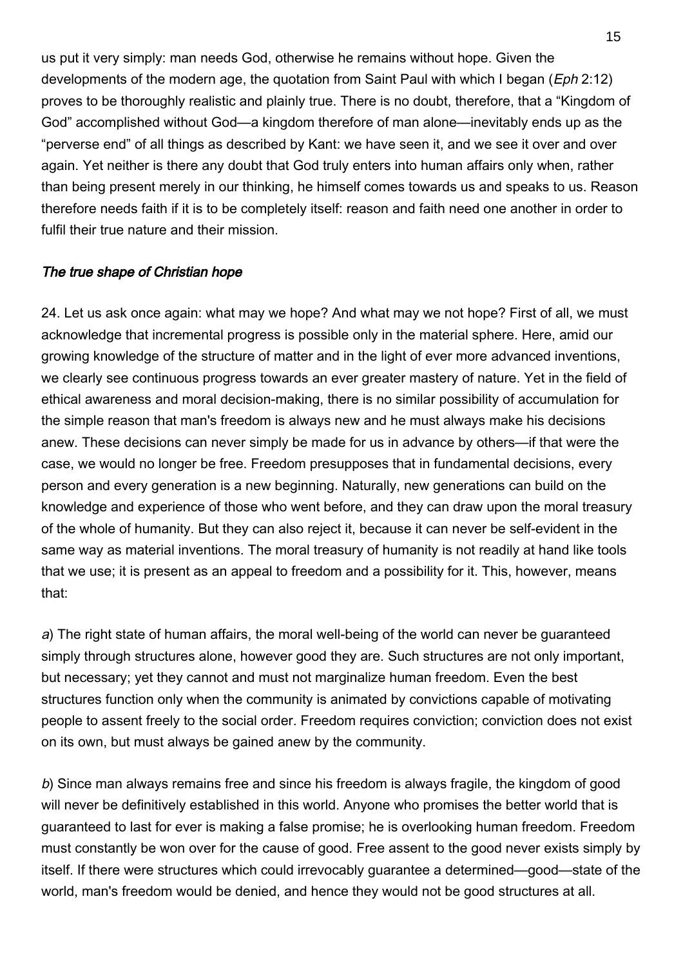us put it very simply: man needs God, otherwise he remains without hope. Given the developments of the modern age, the quotation from Saint Paul with which I began (*Eph* 2:12) proves to be thoroughly realistic and plainly true. There is no doubt, therefore, that a "Kingdom of God" accomplished without God—a kingdom therefore of man alone—inevitably ends up as the "perverse end" of all things as described by Kant: we have seen it, and we see it over and over again. Yet neither is there any doubt that God truly enters into human affairs only when, rather than being present merely in our thinking, he himself comes towards us and speaks to us. Reason therefore needs faith if it is to be completely itself: reason and faith need one another in order to fulfil their true nature and their mission.

### The true shape of Christian hope

24. Let us ask once again: what may we hope? And what may we not hope? First of all, we must acknowledge that incremental progress is possible only in the material sphere. Here, amid our growing knowledge of the structure of matter and in the light of ever more advanced inventions, we clearly see continuous progress towards an ever greater mastery of nature. Yet in the field of ethical awareness and moral decision-making, there is no similar possibility of accumulation for the simple reason that man's freedom is always new and he must always make his decisions anew. These decisions can never simply be made for us in advance by others—if that were the case, we would no longer be free. Freedom presupposes that in fundamental decisions, every person and every generation is a new beginning. Naturally, new generations can build on the knowledge and experience of those who went before, and they can draw upon the moral treasury of the whole of humanity. But they can also reject it, because it can never be self-evident in the same way as material inventions. The moral treasury of humanity is not readily at hand like tools that we use; it is present as an appeal to freedom and a possibility for it. This, however, means that:

a) The right state of human affairs, the moral well-being of the world can never be guaranteed simply through structures alone, however good they are. Such structures are not only important, but necessary; yet they cannot and must not marginalize human freedom. Even the best structures function only when the community is animated by convictions capable of motivating people to assent freely to the social order. Freedom requires conviction; conviction does not exist on its own, but must always be gained anew by the community.

b) Since man always remains free and since his freedom is always fragile, the kingdom of good will never be definitively established in this world. Anyone who promises the better world that is guaranteed to last for ever is making a false promise; he is overlooking human freedom. Freedom must constantly be won over for the cause of good. Free assent to the good never exists simply by itself. If there were structures which could irrevocably guarantee a determined—good—state of the world, man's freedom would be denied, and hence they would not be good structures at all.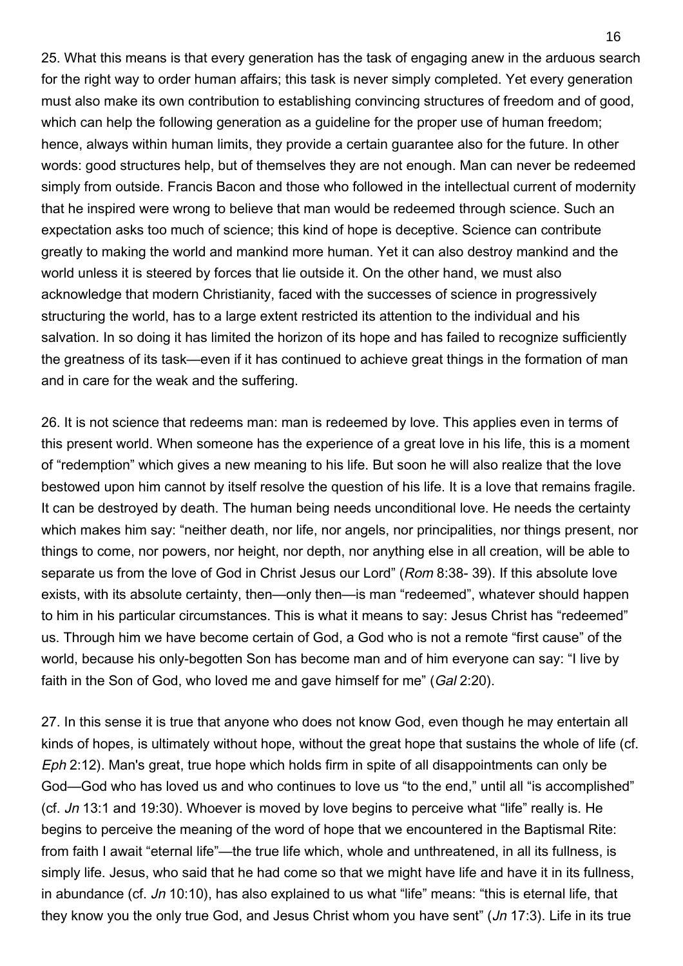25. What this means is that every generation has the task of engaging anew in the arduous search for the right way to order human affairs; this task is never simply completed. Yet every generation must also make its own contribution to establishing convincing structures of freedom and of good, which can help the following generation as a guideline for the proper use of human freedom; hence, always within human limits, they provide a certain guarantee also for the future. In other words: good structures help, but of themselves they are not enough. Man can never be redeemed simply from outside. Francis Bacon and those who followed in the intellectual current of modernity that he inspired were wrong to believe that man would be redeemed through science. Such an expectation asks too much of science; this kind of hope is deceptive. Science can contribute greatly to making the world and mankind more human. Yet it can also destroy mankind and the world unless it is steered by forces that lie outside it. On the other hand, we must also acknowledge that modern Christianity, faced with the successes of science in progressively structuring the world, has to a large extent restricted its attention to the individual and his salvation. In so doing it has limited the horizon of its hope and has failed to recognize sufficiently the greatness of its task—even if it has continued to achieve great things in the formation of man and in care for the weak and the suffering.

26. It is not science that redeems man: man is redeemed by love. This applies even in terms of this present world. When someone has the experience of a great love in his life, this is a moment of "redemption" which gives a new meaning to his life. But soon he will also realize that the love bestowed upon him cannot by itself resolve the question of his life. It is a love that remains fragile. It can be destroyed by death. The human being needs unconditional love. He needs the certainty which makes him say: "neither death, nor life, nor angels, nor principalities, nor things present, nor things to come, nor powers, nor height, nor depth, nor anything else in all creation, will be able to separate us from the love of God in Christ Jesus our Lord" (Rom 8:38-39). If this absolute love exists, with its absolute certainty, then—only then—is man "redeemed", whatever should happen to him in his particular circumstances. This is what it means to say: Jesus Christ has "redeemed" us. Through him we have become certain of God, a God who is not a remote "first cause" of the world, because his only-begotten Son has become man and of him everyone can say: "I live by faith in the Son of God, who loved me and gave himself for me" (Gal 2:20).

27. In this sense it is true that anyone who does not know God, even though he may entertain all kinds of hopes, is ultimately without hope, without the great hope that sustains the whole of life (cf. Eph 2:12). Man's great, true hope which holds firm in spite of all disappointments can only be God—God who has loved us and who continues to love us "to the end," until all "is accomplished" (cf. Jn 13:1 and 19:30). Whoever is moved by love begins to perceive what "life" really is. He begins to perceive the meaning of the word of hope that we encountered in the Baptismal Rite: from faith I await "eternal life"—the true life which, whole and unthreatened, in all its fullness, is simply life. Jesus, who said that he had come so that we might have life and have it in its fullness, in abundance (cf. Jn 10:10), has also explained to us what "life" means: "this is eternal life, that they know you the only true God, and Jesus Christ whom you have sent" (Jn 17:3). Life in its true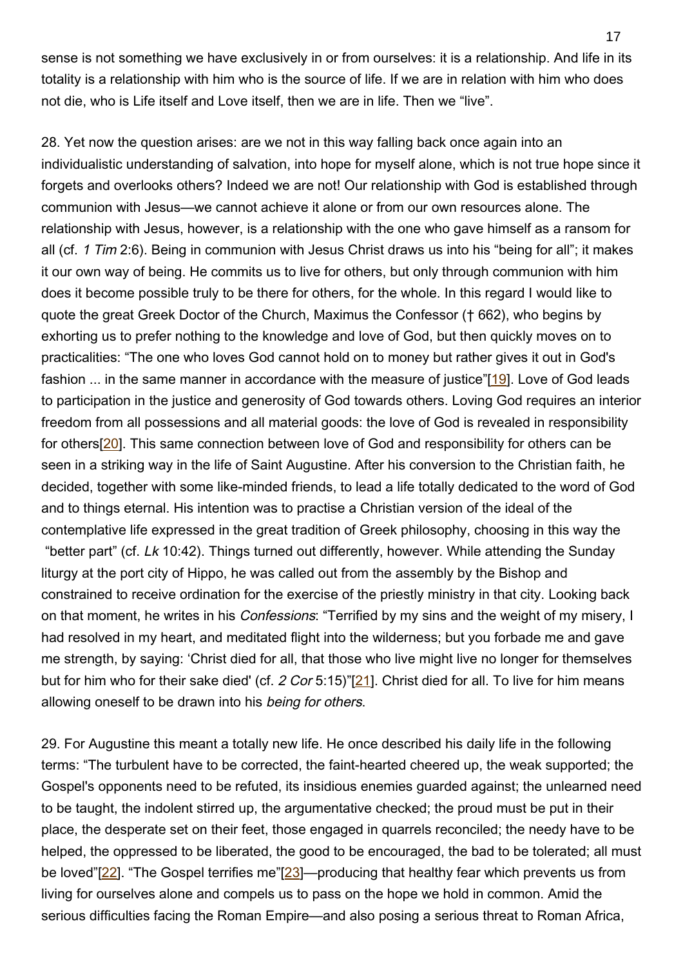sense is not something we have exclusively in or from ourselves: it is a relationship. And life in its totality is a relationship with him who is the source of life. If we are in relation with him who does not die, who is Life itself and Love itself, then we are in life. Then we "live".

28. Yet now the question arises: are we not in this way falling back once again into an individualistic understanding of salvation, into hope for myself alone, which is not true hope since it forgets and overlooks others? Indeed we are not! Our relationship with God is established through communion with Jesus—we cannot achieve it alone or from our own resources alone. The relationship with Jesus, however, is a relationship with the one who gave himself as a ransom for all (cf. 1 Tim 2:6). Being in communion with Jesus Christ draws us into his "being for all"; it makes it our own way of being. He commits us to live for others, but only through communion with him does it become possible truly to be there for others, for the whole. In this regard I would like to quote the great Greek Doctor of the Church, Maximus the Confessor († 662), who begins by exhorting us to prefer nothing to the knowledge and love of God, but then quickly moves on to practicalities: "The one who loves God cannot hold on to money but rather gives it out in God's fashion ... in the same manner in accordance with the measure of justice"[19]. Love of God leads to participation in the justice and generosity of God towards others. Loving God requires an interior freedom from all possessions and all material goods: the love of God is revealed in responsibility for others[20]. This same connection between love of God and responsibility for others can be seen in a striking way in the life of Saint Augustine. After his conversion to the Christian faith, he decided, together with some like-minded friends, to lead a life totally dedicated to the word of God and to things eternal. His intention was to practise a Christian version of the ideal of the contemplative life expressed in the great tradition of Greek philosophy, choosing in this way the "better part" (cf. Lk 10:42). Things turned out differently, however. While attending the Sunday liturgy at the port city of Hippo, he was called out from the assembly by the Bishop and constrained to receive ordination for the exercise of the priestly ministry in that city. Looking back on that moment, he writes in his *Confessions*: "Terrified by my sins and the weight of my misery, I had resolved in my heart, and meditated flight into the wilderness; but you forbade me and gave me strength, by saying: 'Christ died for all, that those who live might live no longer for themselves but for him who for their sake died' (cf. 2 Cor 5:15)"[21]. Christ died for all. To live for him means allowing oneself to be drawn into his being for others.

29. For Augustine this meant a totally new life. He once described his daily life in the following terms: "The turbulent have to be corrected, the faint-hearted cheered up, the weak supported; the Gospel's opponents need to be refuted, its insidious enemies guarded against; the unlearned need to be taught, the indolent stirred up, the argumentative checked; the proud must be put in their place, the desperate set on their feet, those engaged in quarrels reconciled; the needy have to be helped, the oppressed to be liberated, the good to be encouraged, the bad to be tolerated; all must be loved"[22]. "The Gospel terrifies me"[23]—producing that healthy fear which prevents us from living for ourselves alone and compels us to pass on the hope we hold in common. Amid the serious difficulties facing the Roman Empire—and also posing a serious threat to Roman Africa,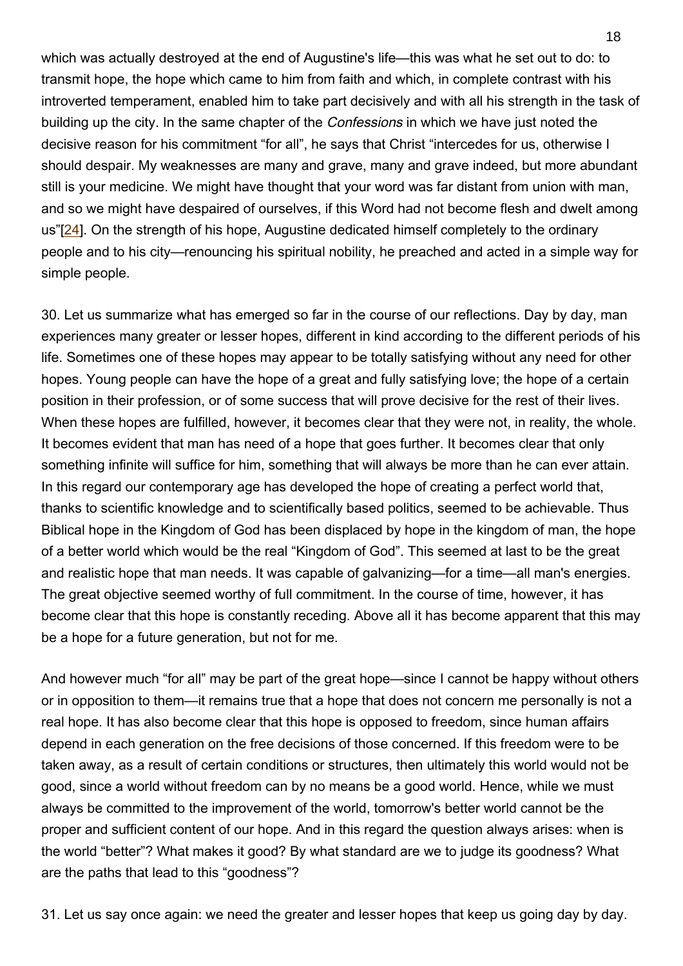which was actually destroyed at the end of Augustine's life—this was what he set out to do: to transmit hope, the hope which came to him from faith and which, in complete contrast with his introverted temperament, enabled him to take part decisively and with all his strength in the task of building up the city. In the same chapter of the Confessions in which we have just noted the decisive reason for his commitment "for all", he says that Christ "intercedes for us, otherwise I should despair. My weaknesses are many and grave, many and grave indeed, but more abundant still is your medicine. We might have thought that your word was far distant from union with man, and so we might have despaired of ourselves, if this Word had not become flesh and dwelt among us"[24]. On the strength of his hope, Augustine dedicated himself completely to the ordinary people and to his city—renouncing his spiritual nobility, he preached and acted in a simple way for simple people.

30. Let us summarize what has emerged so far in the course of our reflections. Day by day, man experiences many greater or lesser hopes, different in kind according to the different periods of his life. Sometimes one of these hopes may appear to be totally satisfying without any need for other hopes. Young people can have the hope of a great and fully satisfying love; the hope of a certain position in their profession, or of some success that will prove decisive for the rest of their lives. When these hopes are fulfilled, however, it becomes clear that they were not, in reality, the whole. It becomes evident that man has need of a hope that goes further. It becomes clear that only something infinite will suffice for him, something that will always be more than he can ever attain. In this regard our contemporary age has developed the hope of creating a perfect world that, thanks to scientific knowledge and to scientifically based politics, seemed to be achievable. Thus Biblical hope in the Kingdom of God has been displaced by hope in the kingdom of man, the hope of a better world which would be the real "Kingdom of God". This seemed at last to be the great and realistic hope that man needs. It was capable of galvanizing—for a time—all man's energies. The great objective seemed worthy of full commitment. In the course of time, however, it has become clear that this hope is constantly receding. Above all it has become apparent that this may be a hope for a future generation, but not for me.

And however much "for all" may be part of the great hope—since I cannot be happy without others or in opposition to them—it remains true that a hope that does not concern me personally is not a real hope. It has also become clear that this hope is opposed to freedom, since human affairs depend in each generation on the free decisions of those concerned. If this freedom were to be taken away, as a result of certain conditions or structures, then ultimately this world would not be good, since a world without freedom can by no means be a good world. Hence, while we must always be committed to the improvement of the world, tomorrow's better world cannot be the proper and sufficient content of our hope. And in this regard the question always arises: when is the world "better"? What makes it good? By what standard are we to judge its goodness? What are the paths that lead to this "goodness"?

31. Let us say once again: we need the greater and lesser hopes that keep us going day by day.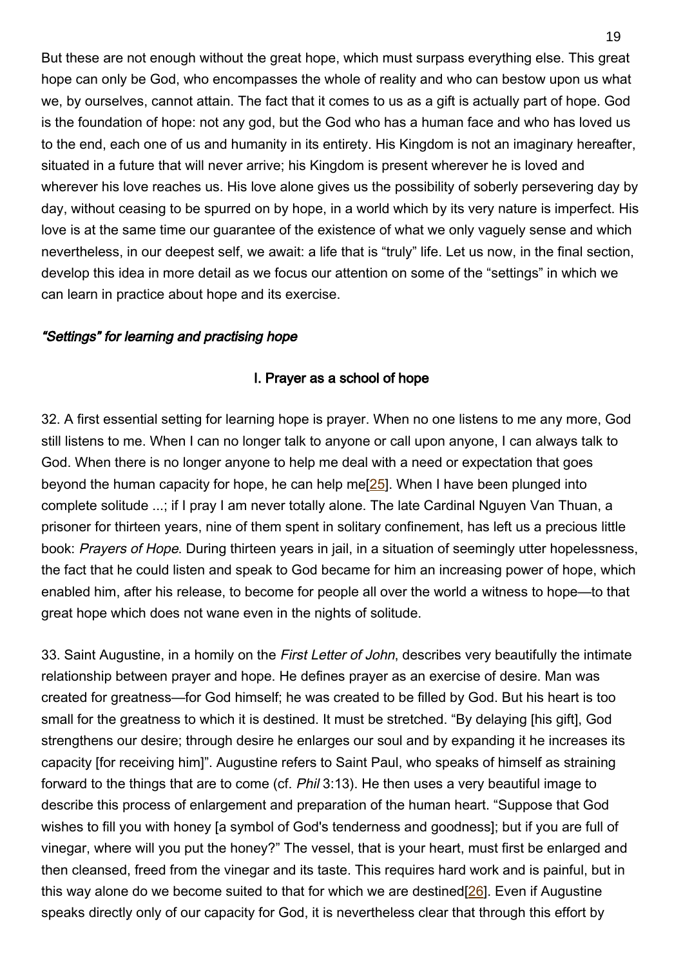But these are not enough without the great hope, which must surpass everything else. This great hope can only be God, who encompasses the whole of reality and who can bestow upon us what we, by ourselves, cannot attain. The fact that it comes to us as a gift is actually part of hope. God is the foundation of hope: not any god, but the God who has a human face and who has loved us to the end, each one of us and humanity in its entirety. His Kingdom is not an imaginary hereafter, situated in a future that will never arrive; his Kingdom is present wherever he is loved and wherever his love reaches us. His love alone gives us the possibility of soberly persevering day by day, without ceasing to be spurred on by hope, in a world which by its very nature is imperfect. His love is at the same time our guarantee of the existence of what we only vaguely sense and which nevertheless, in our deepest self, we await: a life that is "truly" life. Let us now, in the final section, develop this idea in more detail as we focus our attention on some of the "settings" in which we can learn in practice about hope and its exercise.

### "Settings" for learning and practising hope

#### I. Prayer as a school of hope

32. A first essential setting for learning hope is prayer. When no one listens to me any more, God still listens to me. When I can no longer talk to anyone or call upon anyone, I can always talk to God. When there is no longer anyone to help me deal with a need or expectation that goes beyond the human capacity for hope, he can help me[25]. When I have been plunged into complete solitude ...; if I pray I am never totally alone. The late Cardinal Nguyen Van Thuan, a prisoner for thirteen years, nine of them spent in solitary confinement, has left us a precious little book: Prayers of Hope. During thirteen years in jail, in a situation of seemingly utter hopelessness, the fact that he could listen and speak to God became for him an increasing power of hope, which enabled him, after his release, to become for people all over the world a witness to hope—to that great hope which does not wane even in the nights of solitude.

33. Saint Augustine, in a homily on the First Letter of John, describes very beautifully the intimate relationship between prayer and hope. He defines prayer as an exercise of desire. Man was created for greatness—for God himself; he was created to be filled by God. But his heart is too small for the greatness to which it is destined. It must be stretched. "By delaying [his gift], God strengthens our desire; through desire he enlarges our soul and by expanding it he increases its capacity [for receiving him]". Augustine refers to Saint Paul, who speaks of himself as straining forward to the things that are to come (cf. Phil 3:13). He then uses a very beautiful image to describe this process of enlargement and preparation of the human heart. "Suppose that God wishes to fill you with honey [a symbol of God's tenderness and goodness]; but if you are full of vinegar, where will you put the honey?" The vessel, that is your heart, must first be enlarged and then cleansed, freed from the vinegar and its taste. This requires hard work and is painful, but in this way alone do we become suited to that for which we are destined $[26]$ . Even if Augustine speaks directly only of our capacity for God, it is nevertheless clear that through this effort by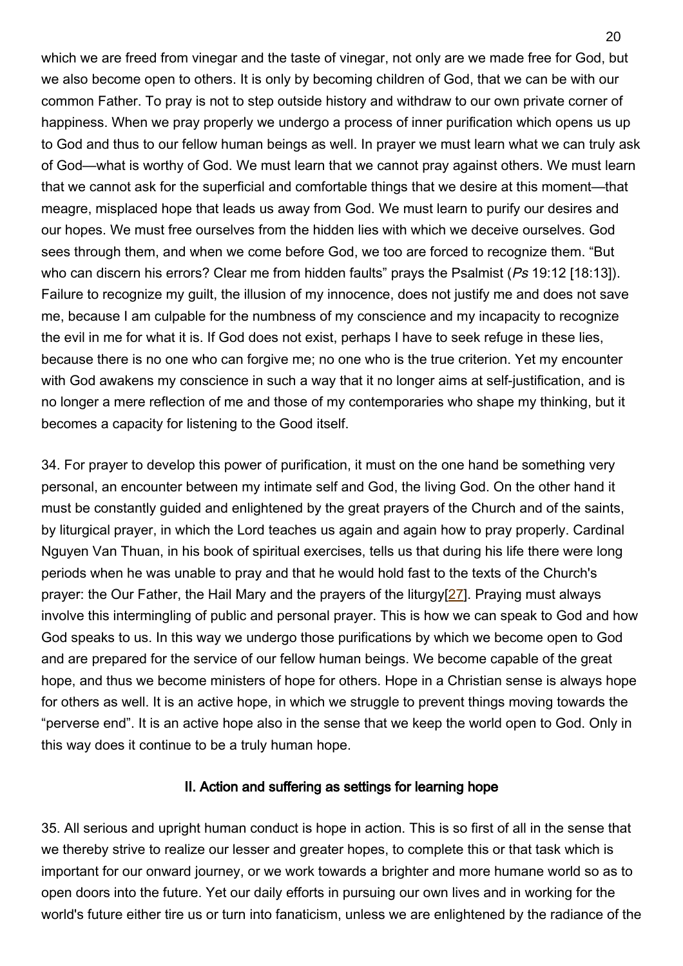which we are freed from vinegar and the taste of vinegar, not only are we made free for God, but we also become open to others. It is only by becoming children of God, that we can be with our common Father. To pray is not to step outside history and withdraw to our own private corner of happiness. When we pray properly we undergo a process of inner purification which opens us up to God and thus to our fellow human beings as well. In prayer we must learn what we can truly ask of God—what is worthy of God. We must learn that we cannot pray against others. We must learn that we cannot ask for the superficial and comfortable things that we desire at this moment—that meagre, misplaced hope that leads us away from God. We must learn to purify our desires and our hopes. We must free ourselves from the hidden lies with which we deceive ourselves. God sees through them, and when we come before God, we too are forced to recognize them. "But who can discern his errors? Clear me from hidden faults" prays the Psalmist (Ps 19:12 [18:13]). Failure to recognize my guilt, the illusion of my innocence, does not justify me and does not save me, because I am culpable for the numbness of my conscience and my incapacity to recognize the evil in me for what it is. If God does not exist, perhaps I have to seek refuge in these lies, because there is no one who can forgive me; no one who is the true criterion. Yet my encounter with God awakens my conscience in such a way that it no longer aims at self-justification, and is no longer a mere reflection of me and those of my contemporaries who shape my thinking, but it becomes a capacity for listening to the Good itself.

34. For prayer to develop this power of purification, it must on the one hand be something very personal, an encounter between my intimate self and God, the living God. On the other hand it must be constantly guided and enlightened by the great prayers of the Church and of the saints, by liturgical prayer, in which the Lord teaches us again and again how to pray properly. Cardinal Nguyen Van Thuan, in his book of spiritual exercises, tells us that during his life there were long periods when he was unable to pray and that he would hold fast to the texts of the Church's prayer: the Our Father, the Hail Mary and the prayers of the liturgy[27]. Praying must always involve this intermingling of public and personal prayer. This is how we can speak to God and how God speaks to us. In this way we undergo those purifications by which we become open to God and are prepared for the service of our fellow human beings. We become capable of the great hope, and thus we become ministers of hope for others. Hope in a Christian sense is always hope for others as well. It is an active hope, in which we struggle to prevent things moving towards the "perverse end". It is an active hope also in the sense that we keep the world open to God. Only in this way does it continue to be a truly human hope.

### II. Action and suffering as settings for learning hope

35. All serious and upright human conduct is hope in action. This is so first of all in the sense that we thereby strive to realize our lesser and greater hopes, to complete this or that task which is important for our onward journey, or we work towards a brighter and more humane world so as to open doors into the future. Yet our daily efforts in pursuing our own lives and in working for the world's future either tire us or turn into fanaticism, unless we are enlightened by the radiance of the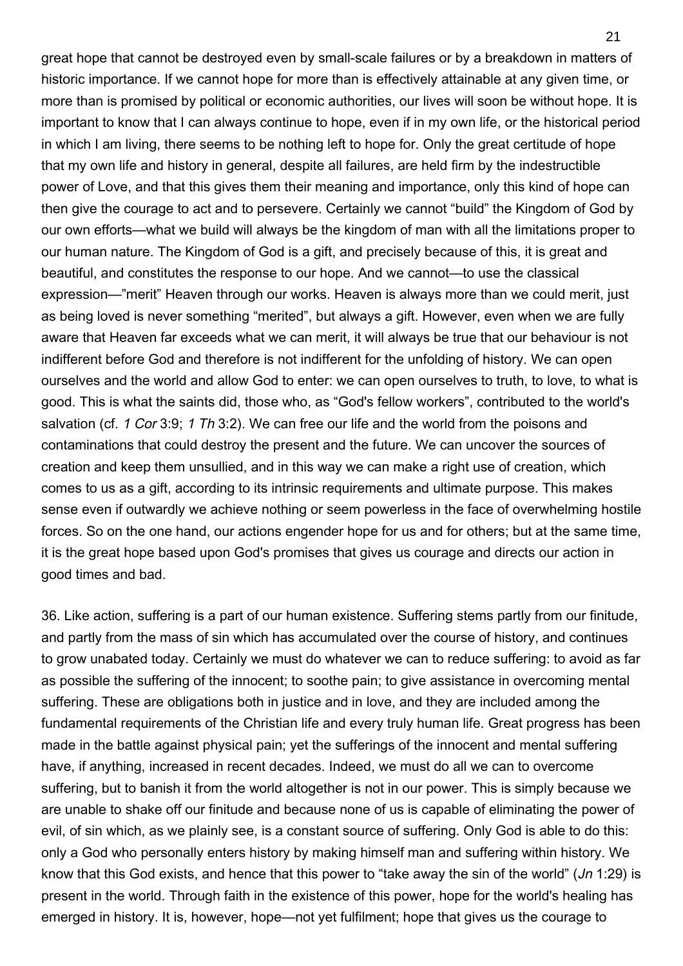great hope that cannot be destroyed even by small-scale failures or by a breakdown in matters of historic importance. If we cannot hope for more than is effectively attainable at any given time, or more than is promised by political or economic authorities, our lives will soon be without hope. It is important to know that I can always continue to hope, even if in my own life, or the historical period in which I am living, there seems to be nothing left to hope for. Only the great certitude of hope that my own life and history in general, despite all failures, are held firm by the indestructible power of Love, and that this gives them their meaning and importance, only this kind of hope can then give the courage to act and to persevere. Certainly we cannot "build" the Kingdom of God by our own efforts—what we build will always be the kingdom of man with all the limitations proper to our human nature. The Kingdom of God is a gift, and precisely because of this, it is great and beautiful, and constitutes the response to our hope. And we cannot—to use the classical expression—"merit" Heaven through our works. Heaven is always more than we could merit, just as being loved is never something "merited", but always a gift. However, even when we are fully aware that Heaven far exceeds what we can merit, it will always be true that our behaviour is not indifferent before God and therefore is not indifferent for the unfolding of history. We can open ourselves and the world and allow God to enter: we can open ourselves to truth, to love, to what is good. This is what the saints did, those who, as "God's fellow workers", contributed to the world's salvation (cf. 1 Cor 3:9; 1 Th 3:2). We can free our life and the world from the poisons and contaminations that could destroy the present and the future. We can uncover the sources of creation and keep them unsullied, and in this way we can make a right use of creation, which comes to us as a gift, according to its intrinsic requirements and ultimate purpose. This makes sense even if outwardly we achieve nothing or seem powerless in the face of overwhelming hostile forces. So on the one hand, our actions engender hope for us and for others; but at the same time, it is the great hope based upon God's promises that gives us courage and directs our action in good times and bad.

36. Like action, suffering is a part of our human existence. Suffering stems partly from our finitude, and partly from the mass of sin which has accumulated over the course of history, and continues to grow unabated today. Certainly we must do whatever we can to reduce suffering: to avoid as far as possible the suffering of the innocent; to soothe pain; to give assistance in overcoming mental suffering. These are obligations both in justice and in love, and they are included among the fundamental requirements of the Christian life and every truly human life. Great progress has been made in the battle against physical pain; yet the sufferings of the innocent and mental suffering have, if anything, increased in recent decades. Indeed, we must do all we can to overcome suffering, but to banish it from the world altogether is not in our power. This is simply because we are unable to shake off our finitude and because none of us is capable of eliminating the power of evil, of sin which, as we plainly see, is a constant source of suffering. Only God is able to do this: only a God who personally enters history by making himself man and suffering within history. We know that this God exists, and hence that this power to "take away the sin of the world" (Jn 1:29) is present in the world. Through faith in the existence of this power, hope for the world's healing has emerged in history. It is, however, hope—not yet fulfilment; hope that gives us the courage to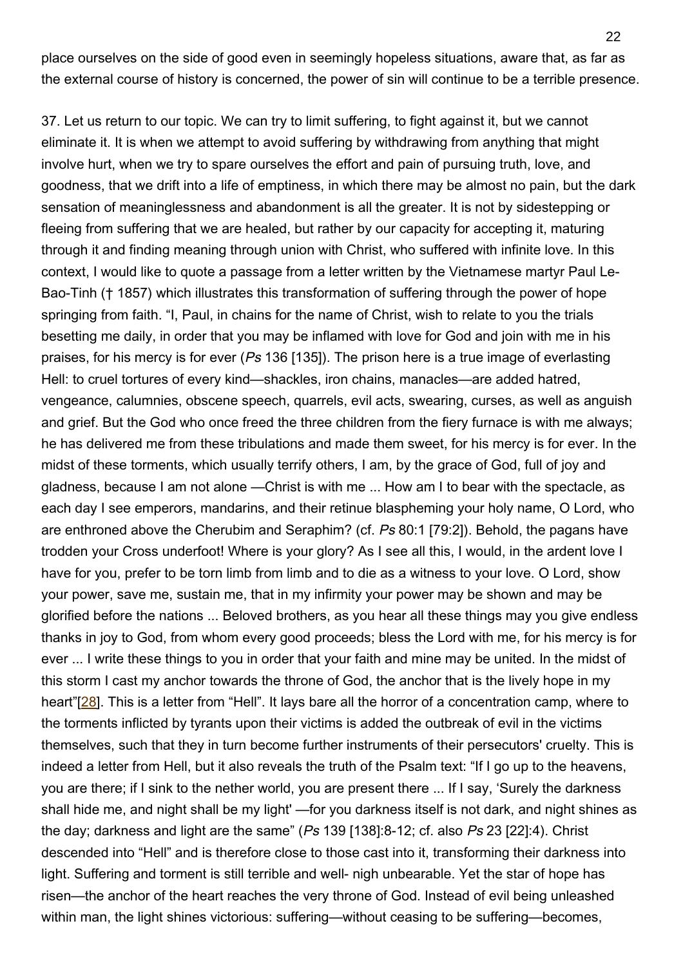place ourselves on the side of good even in seemingly hopeless situations, aware that, as far as the external course of history is concerned, the power of sin will continue to be a terrible presence.

37. Let us return to our topic. We can try to limit suffering, to fight against it, but we cannot eliminate it. It is when we attempt to avoid suffering by withdrawing from anything that might involve hurt, when we try to spare ourselves the effort and pain of pursuing truth, love, and goodness, that we drift into a life of emptiness, in which there may be almost no pain, but the dark sensation of meaninglessness and abandonment is all the greater. It is not by sidestepping or fleeing from suffering that we are healed, but rather by our capacity for accepting it, maturing through it and finding meaning through union with Christ, who suffered with infinite love. In this context, I would like to quote a passage from a letter written by the Vietnamese martyr Paul Le-Bao-Tinh († 1857) which illustrates this transformation of suffering through the power of hope springing from faith. "I, Paul, in chains for the name of Christ, wish to relate to you the trials besetting me daily, in order that you may be inflamed with love for God and join with me in his praises, for his mercy is for ever (Ps 136 [135]). The prison here is a true image of everlasting Hell: to cruel tortures of every kind—shackles, iron chains, manacles—are added hatred, vengeance, calumnies, obscene speech, quarrels, evil acts, swearing, curses, as well as anguish and grief. But the God who once freed the three children from the fiery furnace is with me always; he has delivered me from these tribulations and made them sweet, for his mercy is for ever. In the midst of these torments, which usually terrify others, I am, by the grace of God, full of joy and gladness, because I am not alone —Christ is with me ... How am I to bear with the spectacle, as each day I see emperors, mandarins, and their retinue blaspheming your holy name, O Lord, who are enthroned above the Cherubim and Seraphim? (cf. Ps 80:1 [79:2]). Behold, the pagans have trodden your Cross underfoot! Where is your glory? As I see all this, I would, in the ardent love I have for you, prefer to be torn limb from limb and to die as a witness to your love. O Lord, show your power, save me, sustain me, that in my infirmity your power may be shown and may be glorified before the nations ... Beloved brothers, as you hear all these things may you give endless thanks in joy to God, from whom every good proceeds; bless the Lord with me, for his mercy is for ever ... I write these things to you in order that your faith and mine may be united. In the midst of this storm I cast my anchor towards the throne of God, the anchor that is the lively hope in my heart"[28]. This is a letter from "Hell". It lays bare all the horror of a concentration camp, where to the torments inflicted by tyrants upon their victims is added the outbreak of evil in the victims themselves, such that they in turn become further instruments of their persecutors' cruelty. This is indeed a letter from Hell, but it also reveals the truth of the Psalm text: "If I go up to the heavens, you are there; if I sink to the nether world, you are present there ... If I say, 'Surely the darkness shall hide me, and night shall be my light' —for you darkness itself is not dark, and night shines as the day; darkness and light are the same" (Ps 139 [138]:8-12; cf. also Ps 23 [22]:4). Christ descended into "Hell" and is therefore close to those cast into it, transforming their darkness into light. Suffering and torment is still terrible and well- nigh unbearable. Yet the star of hope has risen—the anchor of the heart reaches the very throne of God. Instead of evil being unleashed within man, the light shines victorious: suffering—without ceasing to be suffering—becomes,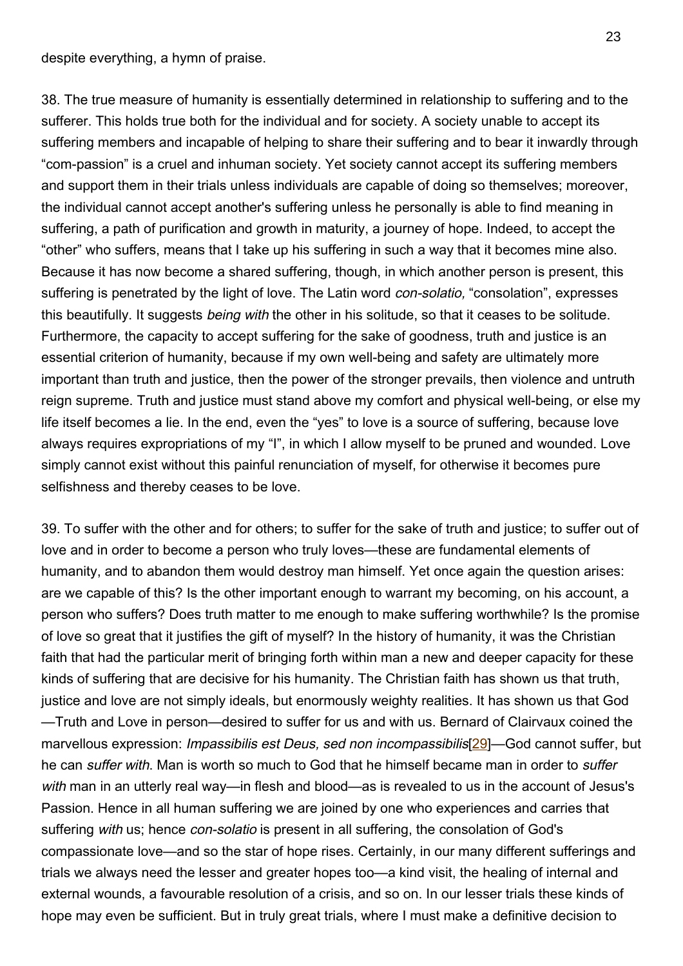despite everything, a hymn of praise.

38. The true measure of humanity is essentially determined in relationship to suffering and to the sufferer. This holds true both for the individual and for society. A society unable to accept its suffering members and incapable of helping to share their suffering and to bear it inwardly through "com-passion" is a cruel and inhuman society. Yet society cannot accept its suffering members and support them in their trials unless individuals are capable of doing so themselves; moreover, the individual cannot accept another's suffering unless he personally is able to find meaning in suffering, a path of purification and growth in maturity, a journey of hope. Indeed, to accept the "other" who suffers, means that I take up his suffering in such a way that it becomes mine also. Because it has now become a shared suffering, though, in which another person is present, this suffering is penetrated by the light of love. The Latin word *con-solatio*, "consolation", expresses this beautifully. It suggests being with the other in his solitude, so that it ceases to be solitude. Furthermore, the capacity to accept suffering for the sake of goodness, truth and justice is an essential criterion of humanity, because if my own well-being and safety are ultimately more important than truth and justice, then the power of the stronger prevails, then violence and untruth reign supreme. Truth and justice must stand above my comfort and physical well-being, or else my life itself becomes a lie. In the end, even the "yes" to love is a source of suffering, because love always requires expropriations of my "I", in which I allow myself to be pruned and wounded. Love simply cannot exist without this painful renunciation of myself, for otherwise it becomes pure selfishness and thereby ceases to be love.

39. To suffer with the other and for others; to suffer for the sake of truth and justice; to suffer out of love and in order to become a person who truly loves—these are fundamental elements of humanity, and to abandon them would destroy man himself. Yet once again the question arises: are we capable of this? Is the other important enough to warrant my becoming, on his account, a person who suffers? Does truth matter to me enough to make suffering worthwhile? Is the promise of love so great that it justifies the gift of myself? In the history of humanity, it was the Christian faith that had the particular merit of bringing forth within man a new and deeper capacity for these kinds of suffering that are decisive for his humanity. The Christian faith has shown us that truth, justice and love are not simply ideals, but enormously weighty realities. It has shown us that God —Truth and Love in person—desired to suffer for us and with us. Bernard of Clairvaux coined the marvellous expression: Impassibilis est Deus, sed non incompassibilis<sup>[29]</sup>—God cannot suffer, but he can *suffer with*. Man is worth so much to God that he himself became man in order to *suffer* with man in an utterly real way—in flesh and blood—as is revealed to us in the account of Jesus's Passion. Hence in all human suffering we are joined by one who experiences and carries that suffering with us; hence *con-solatio* is present in all suffering, the consolation of God's compassionate love—and so the star of hope rises. Certainly, in our many different sufferings and trials we always need the lesser and greater hopes too—a kind visit, the healing of internal and external wounds, a favourable resolution of a crisis, and so on. In our lesser trials these kinds of hope may even be sufficient. But in truly great trials, where I must make a definitive decision to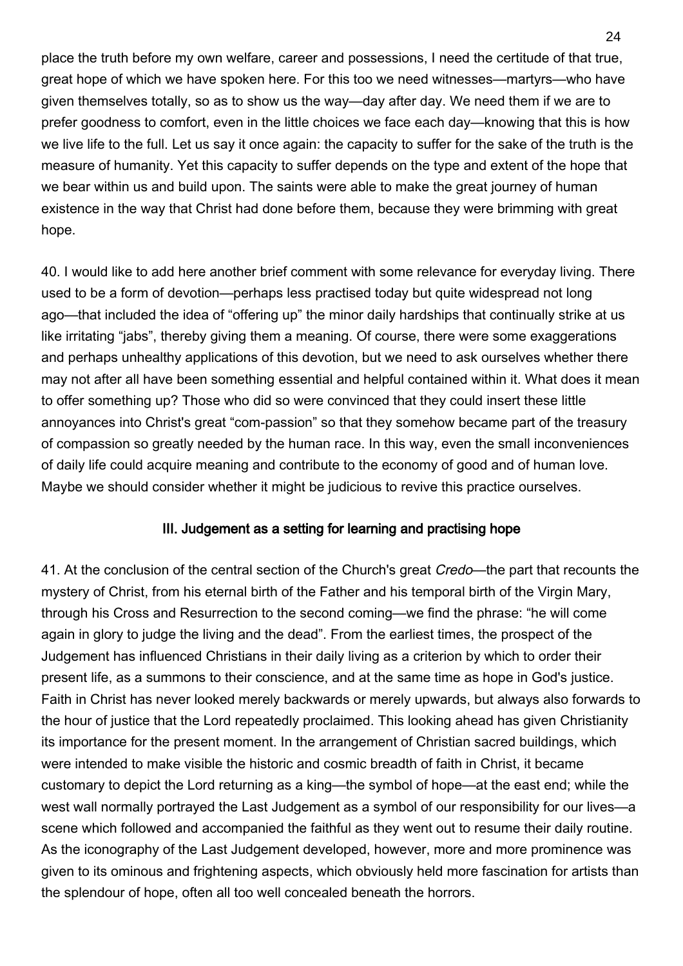place the truth before my own welfare, career and possessions, I need the certitude of that true, great hope of which we have spoken here. For this too we need witnesses—martyrs—who have given themselves totally, so as to show us the way—day after day. We need them if we are to prefer goodness to comfort, even in the little choices we face each day—knowing that this is how we live life to the full. Let us say it once again: the capacity to suffer for the sake of the truth is the measure of humanity. Yet this capacity to suffer depends on the type and extent of the hope that we bear within us and build upon. The saints were able to make the great journey of human existence in the way that Christ had done before them, because they were brimming with great hope.

40. I would like to add here another brief comment with some relevance for everyday living. There used to be a form of devotion—perhaps less practised today but quite widespread not long ago—that included the idea of "offering up" the minor daily hardships that continually strike at us like irritating "jabs", thereby giving them a meaning. Of course, there were some exaggerations and perhaps unhealthy applications of this devotion, but we need to ask ourselves whether there may not after all have been something essential and helpful contained within it. What does it mean to offer something up? Those who did so were convinced that they could insert these little annoyances into Christ's great "com-passion" so that they somehow became part of the treasury of compassion so greatly needed by the human race. In this way, even the small inconveniences of daily life could acquire meaning and contribute to the economy of good and of human love. Maybe we should consider whether it might be judicious to revive this practice ourselves.

### III. Judgement as a setting for learning and practising hope

41. At the conclusion of the central section of the Church's great Credo—the part that recounts the mystery of Christ, from his eternal birth of the Father and his temporal birth of the Virgin Mary, through his Cross and Resurrection to the second coming—we find the phrase: "he will come again in glory to judge the living and the dead". From the earliest times, the prospect of the Judgement has influenced Christians in their daily living as a criterion by which to order their present life, as a summons to their conscience, and at the same time as hope in God's justice. Faith in Christ has never looked merely backwards or merely upwards, but always also forwards to the hour of justice that the Lord repeatedly proclaimed. This looking ahead has given Christianity its importance for the present moment. In the arrangement of Christian sacred buildings, which were intended to make visible the historic and cosmic breadth of faith in Christ, it became customary to depict the Lord returning as a king—the symbol of hope—at the east end; while the west wall normally portrayed the Last Judgement as a symbol of our responsibility for our lives—a scene which followed and accompanied the faithful as they went out to resume their daily routine. As the iconography of the Last Judgement developed, however, more and more prominence was given to its ominous and frightening aspects, which obviously held more fascination for artists than the splendour of hope, often all too well concealed beneath the horrors.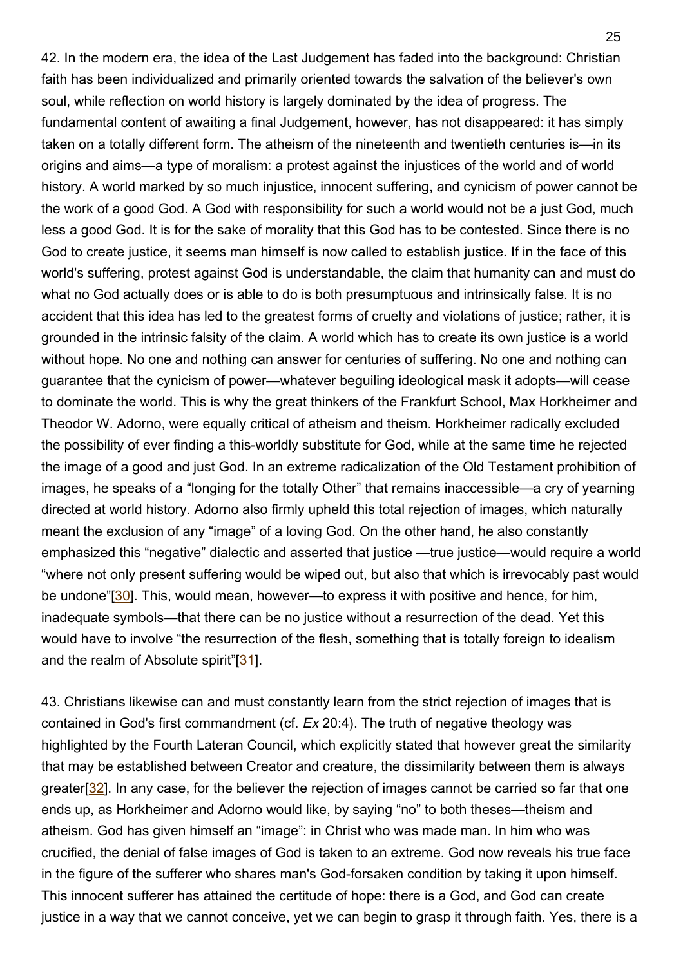42. In the modern era, the idea of the Last Judgement has faded into the background: Christian faith has been individualized and primarily oriented towards the salvation of the believer's own soul, while reflection on world history is largely dominated by the idea of progress. The fundamental content of awaiting a final Judgement, however, has not disappeared: it has simply taken on a totally different form. The atheism of the nineteenth and twentieth centuries is—in its origins and aims—a type of moralism: a protest against the injustices of the world and of world history. A world marked by so much injustice, innocent suffering, and cynicism of power cannot be the work of a good God. A God with responsibility for such a world would not be a just God, much less a good God. It is for the sake of morality that this God has to be contested. Since there is no God to create justice, it seems man himself is now called to establish justice. If in the face of this world's suffering, protest against God is understandable, the claim that humanity can and must do what no God actually does or is able to do is both presumptuous and intrinsically false. It is no accident that this idea has led to the greatest forms of cruelty and violations of justice; rather, it is grounded in the intrinsic falsity of the claim. A world which has to create its own justice is a world without hope. No one and nothing can answer for centuries of suffering. No one and nothing can guarantee that the cynicism of power—whatever beguiling ideological mask it adopts—will cease to dominate the world. This is why the great thinkers of the Frankfurt School, Max Horkheimer and Theodor W. Adorno, were equally critical of atheism and theism. Horkheimer radically excluded the possibility of ever finding a this-worldly substitute for God, while at the same time he rejected the image of a good and just God. In an extreme radicalization of the Old Testament prohibition of images, he speaks of a "longing for the totally Other" that remains inaccessible—a cry of yearning directed at world history. Adorno also firmly upheld this total rejection of images, which naturally meant the exclusion of any "image" of a loving God. On the other hand, he also constantly emphasized this "negative" dialectic and asserted that justice —true justice—would require a world "where not only present suffering would be wiped out, but also that which is irrevocably past would be undone"[30]. This, would mean, however—to express it with positive and hence, for him, inadequate symbols—that there can be no justice without a resurrection of the dead. Yet this would have to involve "the resurrection of the flesh, something that is totally foreign to idealism and the realm of Absolute spirit"[31].

43. Christians likewise can and must constantly learn from the strict rejection of images that is contained in God's first commandment (cf. Ex 20:4). The truth of negative theology was highlighted by the Fourth Lateran Council, which explicitly stated that however great the similarity that may be established between Creator and creature, the dissimilarity between them is always greater<sup>[32]</sup>. In any case, for the believer the rejection of images cannot be carried so far that one ends up, as Horkheimer and Adorno would like, by saying "no" to both theses—theism and atheism. God has given himself an "image": in Christ who was made man. In him who was crucified, the denial of false images of God is taken to an extreme. God now reveals his true face in the figure of the sufferer who shares man's God-forsaken condition by taking it upon himself. This innocent sufferer has attained the certitude of hope: there is a God, and God can create justice in a way that we cannot conceive, yet we can begin to grasp it through faith. Yes, there is a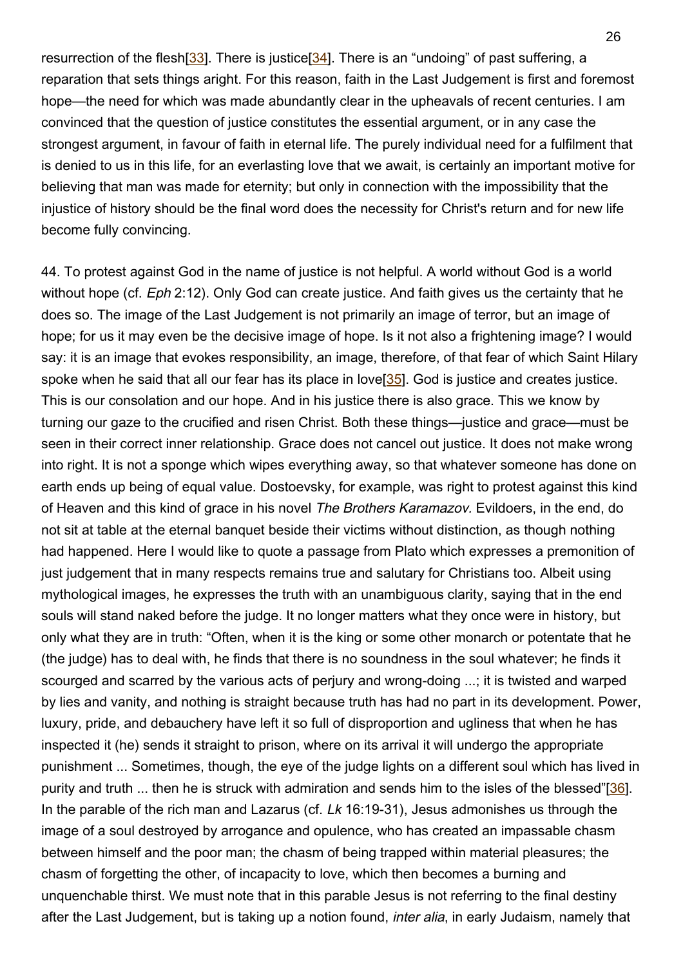resurrection of the flesh[33]. There is justice[34]. There is an "undoing" of past suffering, a reparation that sets things aright. For this reason, faith in the Last Judgement is first and foremost hope—the need for which was made abundantly clear in the upheavals of recent centuries. I am convinced that the question of justice constitutes the essential argument, or in any case the strongest argument, in favour of faith in eternal life. The purely individual need for a fulfilment that is denied to us in this life, for an everlasting love that we await, is certainly an important motive for believing that man was made for eternity; but only in connection with the impossibility that the injustice of history should be the final word does the necessity for Christ's return and for new life become fully convincing.

44. To protest against God in the name of justice is not helpful. A world without God is a world without hope (cf. Eph 2:12). Only God can create justice. And faith gives us the certainty that he does so. The image of the Last Judgement is not primarily an image of terror, but an image of hope; for us it may even be the decisive image of hope. Is it not also a frightening image? I would say: it is an image that evokes responsibility, an image, therefore, of that fear of which Saint Hilary spoke when he said that all our fear has its place in love<sup>[35]</sup>. God is justice and creates justice. This is our consolation and our hope. And in his justice there is also grace. This we know by turning our gaze to the crucified and risen Christ. Both these things—justice and grace—must be seen in their correct inner relationship. Grace does not cancel out justice. It does not make wrong into right. It is not a sponge which wipes everything away, so that whatever someone has done on earth ends up being of equal value. Dostoevsky, for example, was right to protest against this kind of Heaven and this kind of grace in his novel The Brothers Karamazov. Evildoers, in the end, do not sit at table at the eternal banquet beside their victims without distinction, as though nothing had happened. Here I would like to quote a passage from Plato which expresses a premonition of just judgement that in many respects remains true and salutary for Christians too. Albeit using mythological images, he expresses the truth with an unambiguous clarity, saying that in the end souls will stand naked before the judge. It no longer matters what they once were in history, but only what they are in truth: "Often, when it is the king or some other monarch or potentate that he (the judge) has to deal with, he finds that there is no soundness in the soul whatever; he finds it scourged and scarred by the various acts of perjury and wrong-doing ...; it is twisted and warped by lies and vanity, and nothing is straight because truth has had no part in its development. Power, luxury, pride, and debauchery have left it so full of disproportion and ugliness that when he has inspected it (he) sends it straight to prison, where on its arrival it will undergo the appropriate punishment ... Sometimes, though, the eye of the judge lights on a different soul which has lived in purity and truth ... then he is struck with admiration and sends him to the isles of the blessed"[36]. In the parable of the rich man and Lazarus (cf. Lk 16:19-31), Jesus admonishes us through the image of a soul destroyed by arrogance and opulence, who has created an impassable chasm between himself and the poor man; the chasm of being trapped within material pleasures; the chasm of forgetting the other, of incapacity to love, which then becomes a burning and unquenchable thirst. We must note that in this parable Jesus is not referring to the final destiny after the Last Judgement, but is taking up a notion found, *inter alia*, in early Judaism, namely that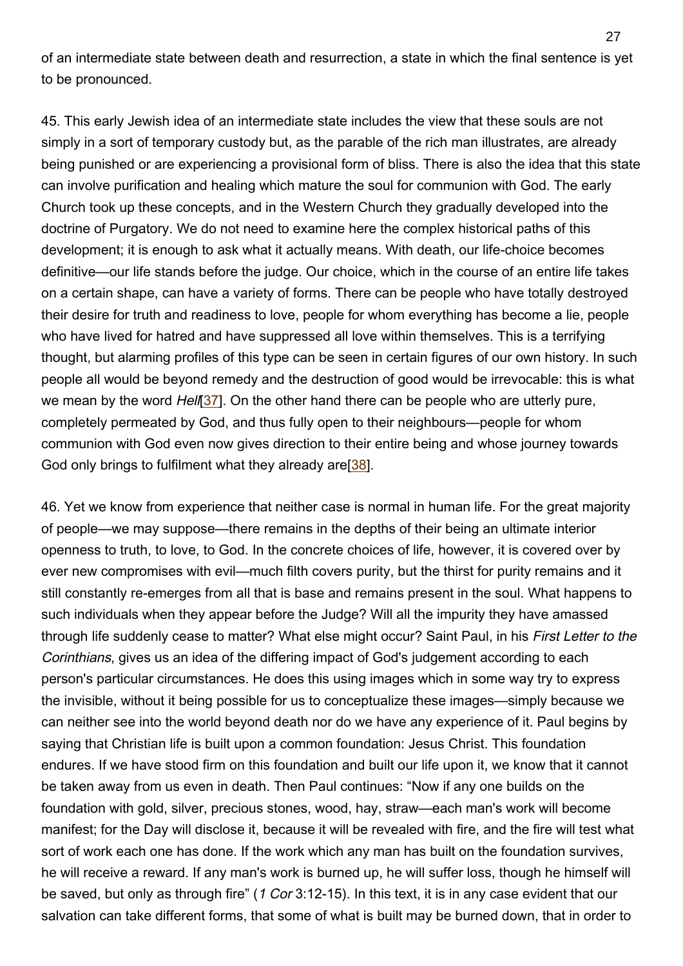of an intermediate state between death and resurrection, a state in which the final sentence is yet to be pronounced.

45. This early Jewish idea of an intermediate state includes the view that these souls are not simply in a sort of temporary custody but, as the parable of the rich man illustrates, are already being punished or are experiencing a provisional form of bliss. There is also the idea that this state can involve purification and healing which mature the soul for communion with God. The early Church took up these concepts, and in the Western Church they gradually developed into the doctrine of Purgatory. We do not need to examine here the complex historical paths of this development; it is enough to ask what it actually means. With death, our life-choice becomes definitive—our life stands before the judge. Our choice, which in the course of an entire life takes on a certain shape, can have a variety of forms. There can be people who have totally destroyed their desire for truth and readiness to love, people for whom everything has become a lie, people who have lived for hatred and have suppressed all love within themselves. This is a terrifying thought, but alarming profiles of this type can be seen in certain figures of our own history. In such people all would be beyond remedy and the destruction of good would be irrevocable: this is what we mean by the word Hell<sup>[37]</sup>. On the other hand there can be people who are utterly pure, completely permeated by God, and thus fully open to their neighbours—people for whom communion with God even now gives direction to their entire being and whose journey towards God only brings to fulfilment what they already are [38].

46. Yet we know from experience that neither case is normal in human life. For the great majority of people—we may suppose—there remains in the depths of their being an ultimate interior openness to truth, to love, to God. In the concrete choices of life, however, it is covered over by ever new compromises with evil—much filth covers purity, but the thirst for purity remains and it still constantly re-emerges from all that is base and remains present in the soul. What happens to such individuals when they appear before the Judge? Will all the impurity they have amassed through life suddenly cease to matter? What else might occur? Saint Paul, in his First Letter to the Corinthians, gives us an idea of the differing impact of God's judgement according to each person's particular circumstances. He does this using images which in some way try to express the invisible, without it being possible for us to conceptualize these images—simply because we can neither see into the world beyond death nor do we have any experience of it. Paul begins by saying that Christian life is built upon a common foundation: Jesus Christ. This foundation endures. If we have stood firm on this foundation and built our life upon it, we know that it cannot be taken away from us even in death. Then Paul continues: "Now if any one builds on the foundation with gold, silver, precious stones, wood, hay, straw—each man's work will become manifest; for the Day will disclose it, because it will be revealed with fire, and the fire will test what sort of work each one has done. If the work which any man has built on the foundation survives, he will receive a reward. If any man's work is burned up, he will suffer loss, though he himself will be saved, but only as through fire" (1 Cor 3:12-15). In this text, it is in any case evident that our salvation can take different forms, that some of what is built may be burned down, that in order to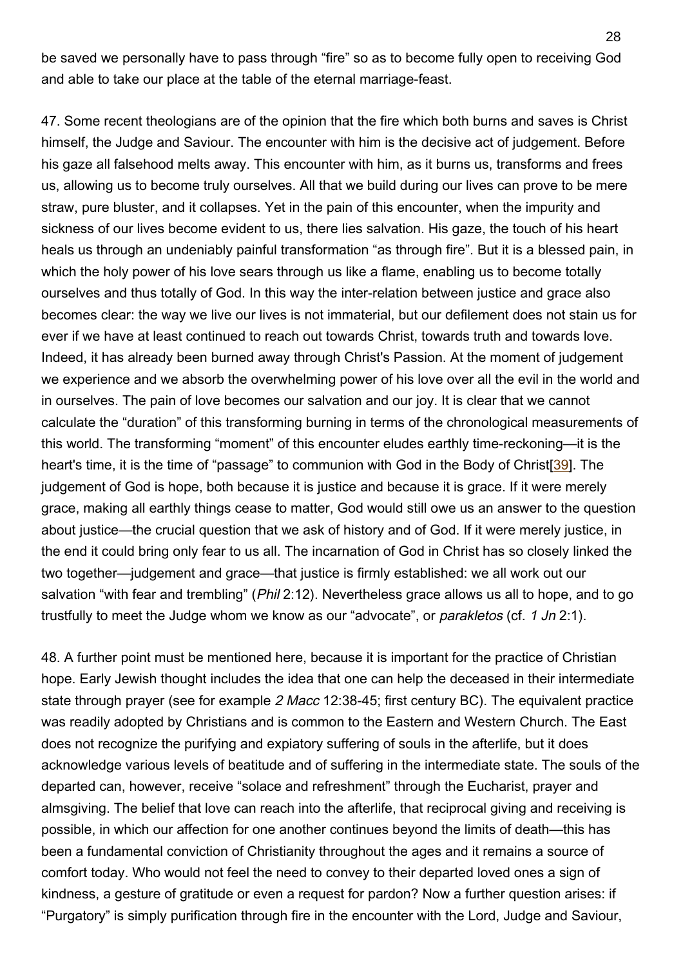be saved we personally have to pass through "fire" so as to become fully open to receiving God and able to take our place at the table of the eternal marriage-feast.

47. Some recent theologians are of the opinion that the fire which both burns and saves is Christ himself, the Judge and Saviour. The encounter with him is the decisive act of judgement. Before his gaze all falsehood melts away. This encounter with him, as it burns us, transforms and frees us, allowing us to become truly ourselves. All that we build during our lives can prove to be mere straw, pure bluster, and it collapses. Yet in the pain of this encounter, when the impurity and sickness of our lives become evident to us, there lies salvation. His gaze, the touch of his heart heals us through an undeniably painful transformation "as through fire". But it is a blessed pain, in which the holy power of his love sears through us like a flame, enabling us to become totally ourselves and thus totally of God. In this way the inter-relation between justice and grace also becomes clear: the way we live our lives is not immaterial, but our defilement does not stain us for ever if we have at least continued to reach out towards Christ, towards truth and towards love. Indeed, it has already been burned away through Christ's Passion. At the moment of judgement we experience and we absorb the overwhelming power of his love over all the evil in the world and in ourselves. The pain of love becomes our salvation and our joy. It is clear that we cannot calculate the "duration" of this transforming burning in terms of the chronological measurements of this world. The transforming "moment" of this encounter eludes earthly time-reckoning—it is the heart's time, it is the time of "passage" to communion with God in the Body of Christ[39]. The judgement of God is hope, both because it is justice and because it is grace. If it were merely grace, making all earthly things cease to matter, God would still owe us an answer to the question about justice—the crucial question that we ask of history and of God. If it were merely justice, in the end it could bring only fear to us all. The incarnation of God in Christ has so closely linked the two together—judgement and grace—that justice is firmly established: we all work out our salvation "with fear and trembling" (Phil 2:12). Nevertheless grace allows us all to hope, and to go trustfully to meet the Judge whom we know as our "advocate", or parakletos (cf. 1 Jn 2:1).

48. A further point must be mentioned here, because it is important for the practice of Christian hope. Early Jewish thought includes the idea that one can help the deceased in their intermediate state through prayer (see for example 2 Macc 12:38-45; first century BC). The equivalent practice was readily adopted by Christians and is common to the Eastern and Western Church. The East does not recognize the purifying and expiatory suffering of souls in the afterlife, but it does acknowledge various levels of beatitude and of suffering in the intermediate state. The souls of the departed can, however, receive "solace and refreshment" through the Eucharist, prayer and almsgiving. The belief that love can reach into the afterlife, that reciprocal giving and receiving is possible, in which our affection for one another continues beyond the limits of death—this has been a fundamental conviction of Christianity throughout the ages and it remains a source of comfort today. Who would not feel the need to convey to their departed loved ones a sign of kindness, a gesture of gratitude or even a request for pardon? Now a further question arises: if "Purgatory" is simply purification through fire in the encounter with the Lord, Judge and Saviour,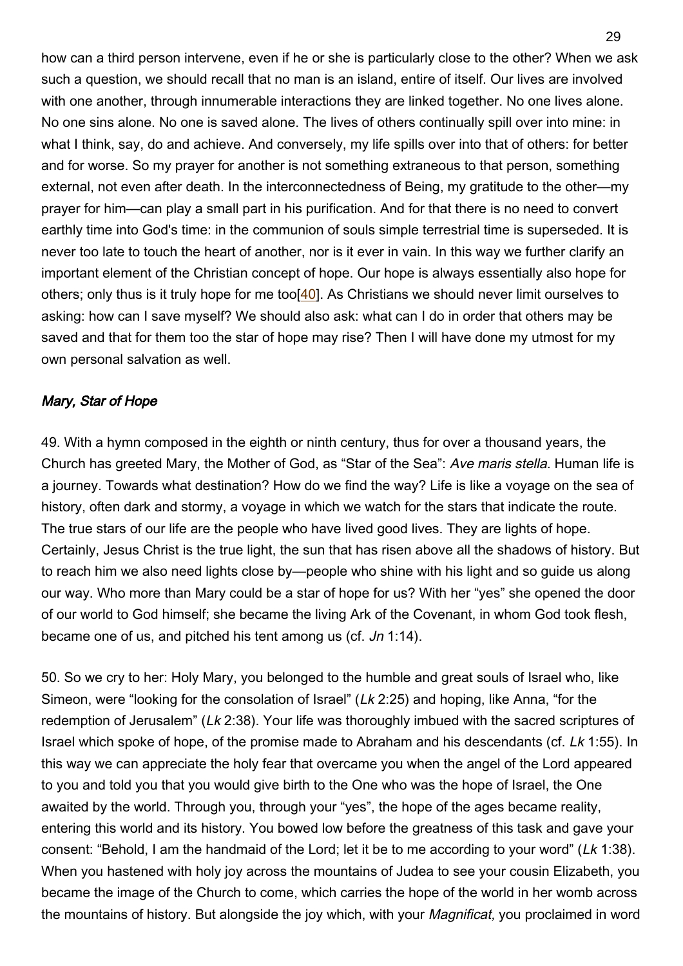how can a third person intervene, even if he or she is particularly close to the other? When we ask such a question, we should recall that no man is an island, entire of itself. Our lives are involved with one another, through innumerable interactions they are linked together. No one lives alone. No one sins alone. No one is saved alone. The lives of others continually spill over into mine: in what I think, say, do and achieve. And conversely, my life spills over into that of others: for better and for worse. So my prayer for another is not something extraneous to that person, something external, not even after death. In the interconnectedness of Being, my gratitude to the other—my prayer for him—can play a small part in his purification. And for that there is no need to convert earthly time into God's time: in the communion of souls simple terrestrial time is superseded. It is never too late to touch the heart of another, nor is it ever in vain. In this way we further clarify an important element of the Christian concept of hope. Our hope is always essentially also hope for others; only thus is it truly hope for me too<sup>[40]</sup>. As Christians we should never limit ourselves to asking: how can I save myself? We should also ask: what can I do in order that others may be saved and that for them too the star of hope may rise? Then I will have done my utmost for my own personal salvation as well.

### Mary, Star of Hope

49. With a hymn composed in the eighth or ninth century, thus for over a thousand years, the Church has greeted Mary, the Mother of God, as "Star of the Sea": Ave maris stella. Human life is a journey. Towards what destination? How do we find the way? Life is like a voyage on the sea of history, often dark and stormy, a voyage in which we watch for the stars that indicate the route. The true stars of our life are the people who have lived good lives. They are lights of hope. Certainly, Jesus Christ is the true light, the sun that has risen above all the shadows of history. But to reach him we also need lights close by—people who shine with his light and so guide us along our way. Who more than Mary could be a star of hope for us? With her "yes" she opened the door of our world to God himself; she became the living Ark of the Covenant, in whom God took flesh, became one of us, and pitched his tent among us (cf. Jn 1:14).

50. So we cry to her: Holy Mary, you belonged to the humble and great souls of Israel who, like Simeon, were "looking for the consolation of Israel" (Lk 2:25) and hoping, like Anna, "for the redemption of Jerusalem" (Lk 2:38). Your life was thoroughly imbued with the sacred scriptures of Israel which spoke of hope, of the promise made to Abraham and his descendants (cf. Lk 1:55). In this way we can appreciate the holy fear that overcame you when the angel of the Lord appeared to you and told you that you would give birth to the One who was the hope of Israel, the One awaited by the world. Through you, through your "yes", the hope of the ages became reality, entering this world and its history. You bowed low before the greatness of this task and gave your consent: "Behold, I am the handmaid of the Lord; let it be to me according to your word" (Lk 1:38). When you hastened with holy joy across the mountains of Judea to see your cousin Elizabeth, you became the image of the Church to come, which carries the hope of the world in her womb across the mountains of history. But alongside the joy which, with your Magnificat, you proclaimed in word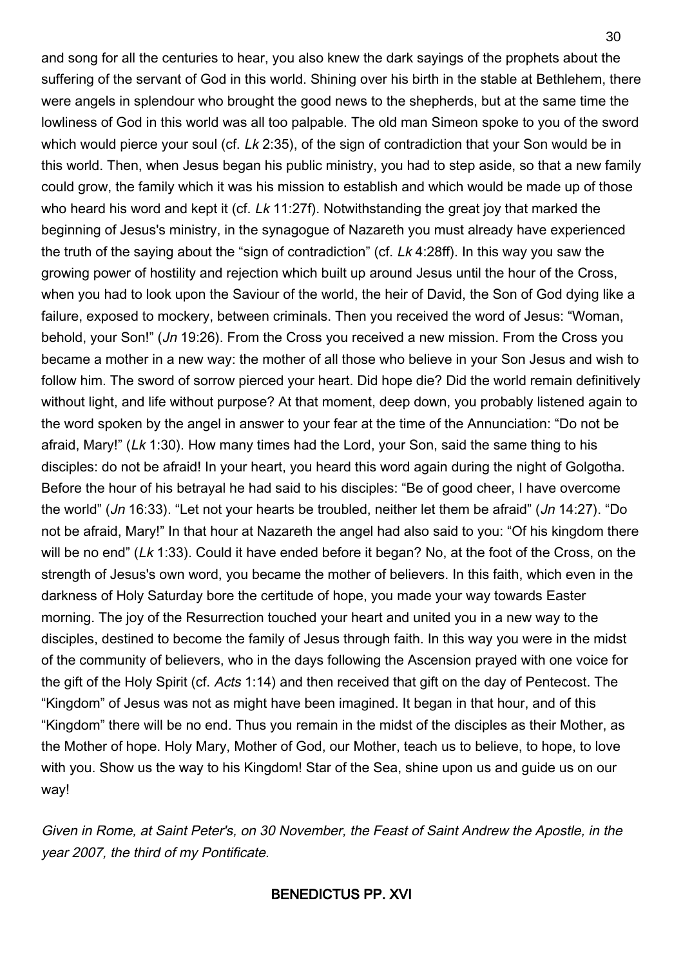and song for all the centuries to hear, you also knew the dark sayings of the prophets about the suffering of the servant of God in this world. Shining over his birth in the stable at Bethlehem, there were angels in splendour who brought the good news to the shepherds, but at the same time the lowliness of God in this world was all too palpable. The old man Simeon spoke to you of the sword which would pierce your soul (cf. Lk 2:35), of the sign of contradiction that your Son would be in this world. Then, when Jesus began his public ministry, you had to step aside, so that a new family could grow, the family which it was his mission to establish and which would be made up of those who heard his word and kept it (cf. Lk 11:27f). Notwithstanding the great joy that marked the beginning of Jesus's ministry, in the synagogue of Nazareth you must already have experienced the truth of the saying about the "sign of contradiction" (cf. Lk 4:28ff). In this way you saw the growing power of hostility and rejection which built up around Jesus until the hour of the Cross, when you had to look upon the Saviour of the world, the heir of David, the Son of God dying like a failure, exposed to mockery, between criminals. Then you received the word of Jesus: "Woman, behold, your Son!" (Jn 19:26). From the Cross you received a new mission. From the Cross you became a mother in a new way: the mother of all those who believe in your Son Jesus and wish to follow him. The sword of sorrow pierced your heart. Did hope die? Did the world remain definitively without light, and life without purpose? At that moment, deep down, you probably listened again to the word spoken by the angel in answer to your fear at the time of the Annunciation: "Do not be afraid, Mary!" (Lk 1:30). How many times had the Lord, your Son, said the same thing to his disciples: do not be afraid! In your heart, you heard this word again during the night of Golgotha. Before the hour of his betrayal he had said to his disciples: "Be of good cheer, I have overcome the world" (Jn 16:33). "Let not your hearts be troubled, neither let them be afraid" (Jn 14:27). "Do not be afraid, Mary!" In that hour at Nazareth the angel had also said to you: "Of his kingdom there will be no end" (Lk 1:33). Could it have ended before it began? No, at the foot of the Cross, on the strength of Jesus's own word, you became the mother of believers. In this faith, which even in the darkness of Holy Saturday bore the certitude of hope, you made your way towards Easter morning. The joy of the Resurrection touched your heart and united you in a new way to the disciples, destined to become the family of Jesus through faith. In this way you were in the midst of the community of believers, who in the days following the Ascension prayed with one voice for the gift of the Holy Spirit (cf. Acts 1:14) and then received that gift on the day of Pentecost. The "Kingdom" of Jesus was not as might have been imagined. It began in that hour, and of this "Kingdom" there will be no end. Thus you remain in the midst of the disciples as their Mother, as the Mother of hope. Holy Mary, Mother of God, our Mother, teach us to believe, to hope, to love with you. Show us the way to his Kingdom! Star of the Sea, shine upon us and guide us on our way!

Given in Rome, at Saint Peter's, on 30 November, the Feast of Saint Andrew the Apostle, in the year 2007, the third of my Pontificate.

# BENEDICTUS PP. XVI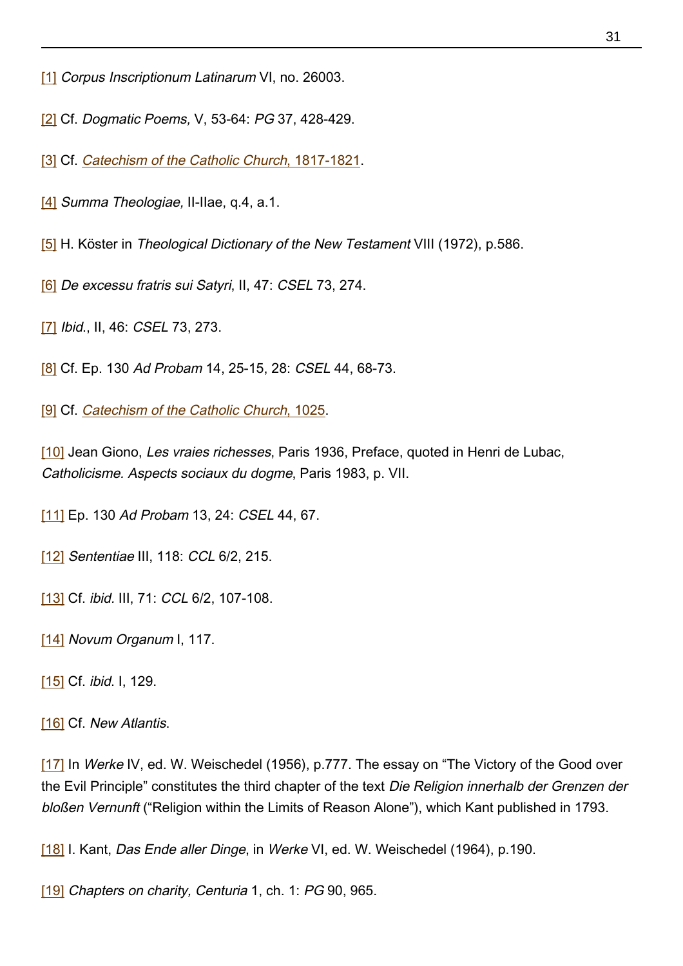[1] Corpus Inscriptionum Latinarum VI, no. 26003.

[2] Cf. Dogmatic Poems, V, 53-64: PG 37, 428-429.

[3] Cf. Catechism of the Catholic Church[, 1817-1821.](http://www.vatican.va/archive/ENG0015/__P66.HTM)

[4] Summa Theologiae, II-IIae, q.4, a.1.

[5] H. Köster in Theological Dictionary of the New Testament VIII (1972), p.586.

[6] De excessu fratris sui Satyri, II, 47: CSEL 73, 274.

[7] Ibid., II, 46: CSEL 73, 273.

[8] Cf. Ep. 130 Ad Probam 14, 25-15, 28: CSEL 44, 68-73.

[9] Cf. [Catechism of the Catholic Church](http://www.vatican.va/archive/ENG0015/__P2M.HTM)[, 1025](http://www.vatican.va/archive/ENG0015/__P2M.HTM).

[10] Jean Giono, Les vraies richesses, Paris 1936, Preface, quoted in Henri de Lubac, Catholicisme. Aspects sociaux du dogme, Paris 1983, p. VII.

[11] Ep. 130 Ad Probam 13, 24: CSEL 44, 67.

[12] Sententiae III, 118: CCL 6/2, 215.

[13] Cf. *ibid.* III, 71: CCL 6/2, 107-108.

[14] Novum Organum I, 117.

[15] Cf. *ibid.* I, 129.

[16] Cf. New Atlantis.

[17] In Werke IV, ed. W. Weischedel (1956), p.777. The essay on "The Victory of the Good over the Evil Principle" constitutes the third chapter of the text Die Religion innerhalb der Grenzen der bloßen Vernunft ("Religion within the Limits of Reason Alone"), which Kant published in 1793.

[18] I. Kant, Das Ende aller Dinge, in Werke VI, ed. W. Weischedel (1964), p.190.

[19] Chapters on charity, Centuria 1, ch. 1: PG 90, 965.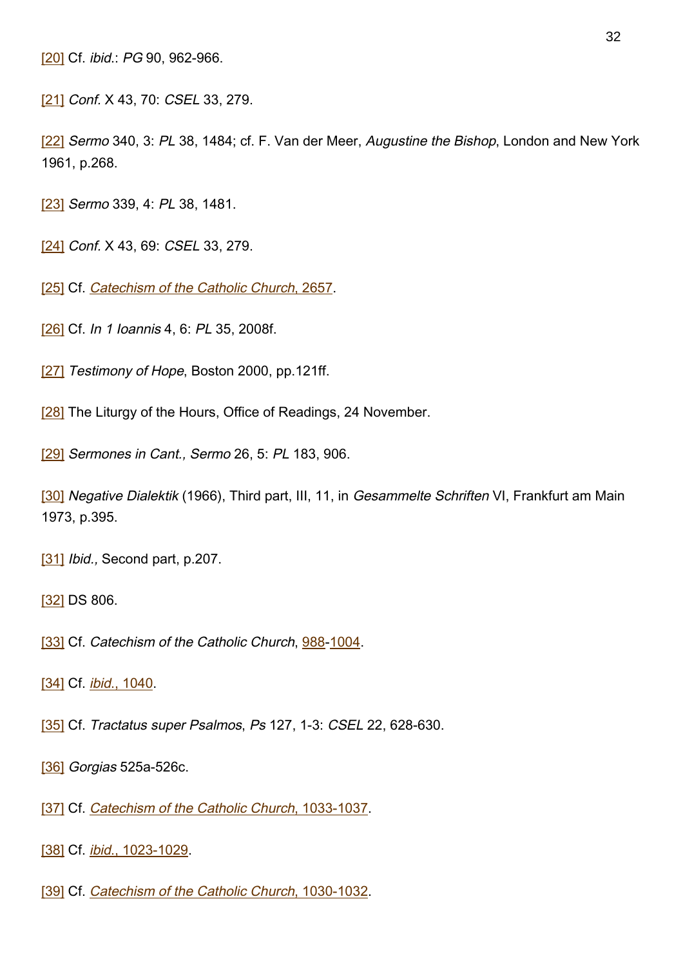[20] Cf. *ibid.: PG* 90, 962-966.

[21] Conf. X 43, 70: CSEL 33, 279.

[22] Sermo 340, 3: PL 38, 1484; cf. F. Van der Meer, Augustine the Bishop, London and New York 1961, p.268.

[23] Sermo 339, 4: PL 38, 1481.

[24] Conf. X 43, 69: CSEL 33, 279.

[25] Cf. [Catechism of the Catholic Church](http://www.vatican.va/archive/ENG0015/__P9D.HTM)[, 2657.](http://www.vatican.va/archive/ENG0015/__P9D.HTM)

[26] Cf. In 1 Ioannis 4, 6: PL 35, 2008f.

[27] Testimony of Hope, Boston 2000, pp.121ff.

[28] The Liturgy of the Hours, Office of Readings, 24 November.

[29] Sermones in Cant., Sermo 26, 5: PL 183, 906.

[30] Negative Dialektik (1966), Third part, III, 11, in Gesammelte Schriften VI, Frankfurt am Main 1973, p.395.

[31] *Ibid.*, Second part, p.207.

#### [32] DS 806.

[33] Cf. Catechism of the Catholic Church, [988](http://www.vatican.va/archive/ENG0015/__P2G.HTM)[-1004.](http://www.vatican.va/archive/ENG0015/__P2H.HTM)

[34] Cf. *ibid.*, 1040.

[35] Cf. Tractatus super Psalmos, Ps 127, 1-3: CSEL 22, 628-630.

[36] Gorgias 525a-526c.

[37] Cf. Catechism of the Catholic Church[, 1033-1037.](http://www.vatican.va/archive/ENG0015/__P2O.HTM)

[38] Cf. *ibid.*, 1023-1029.

[39] Cf. Catechism of the Catholic Church[, 1030-1032.](http://www.vatican.va/archive/ENG0015/__P2N.HTM)